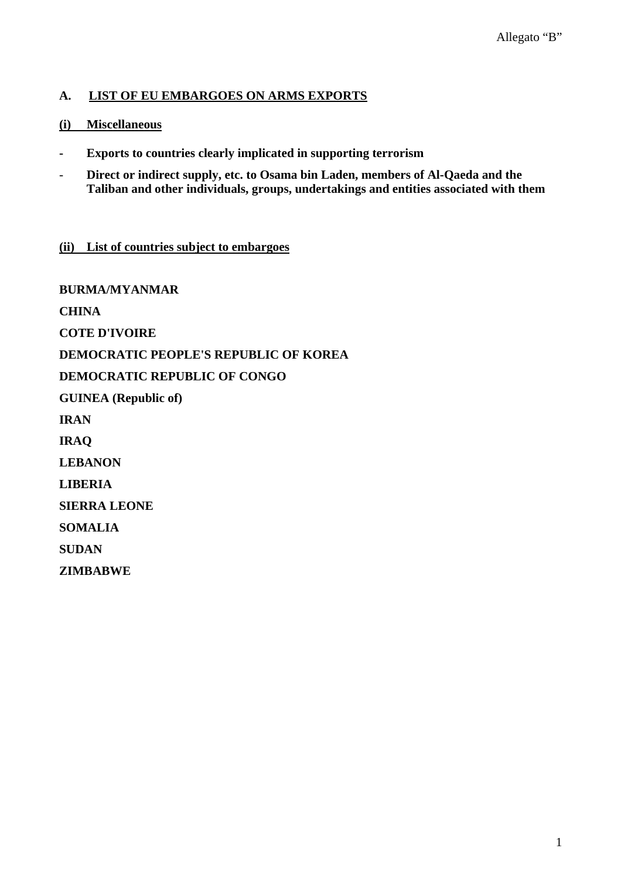## **A. LIST OF EU EMBARGOES ON ARMS EXPORTS**

### **(i) Miscellaneous**

- **Exports to countries clearly implicated in supporting terrorism**
- **Direct or indirect supply, etc. to Osama bin Laden, members of Al-Qaeda and the Taliban and other individuals, groups, undertakings and entities associated with them**

#### **(ii) List of countries subject to embargoes**

**BURMA/MYANMAR CHINA COTE D'IVOIRE DEMOCRATIC PEOPLE'S REPUBLIC OF KOREA DEMOCRATIC REPUBLIC OF CONGO GUINEA (Republic of) IRAN IRAQ LEBANON LIBERIA SIERRA LEONE SOMALIA SUDAN ZIMBABWE**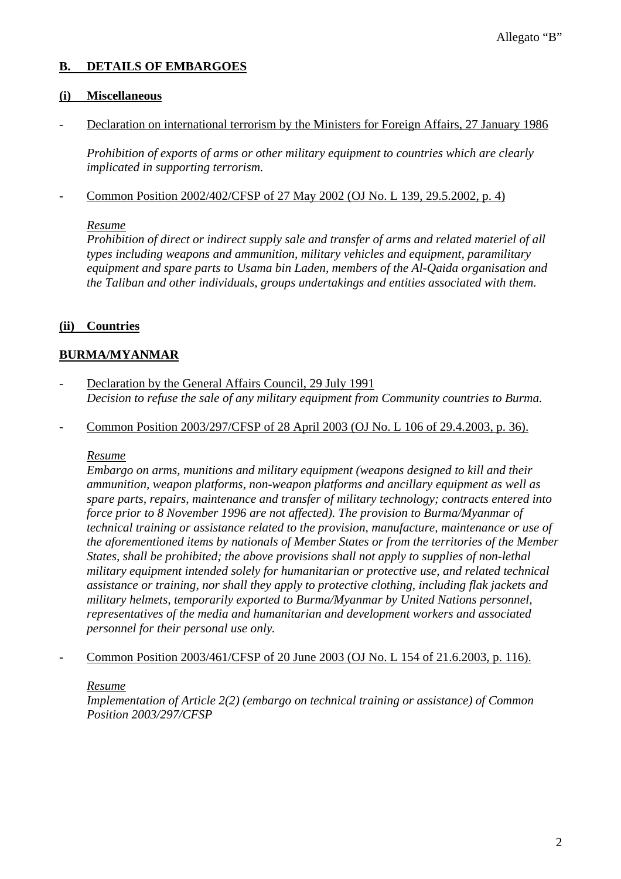### **B. DETAILS OF EMBARGOES**

### **(i) Miscellaneous**

Declaration on international terrorism by the Ministers for Foreign Affairs, 27 January 1986

 *Prohibition of exports of arms or other military equipment to countries which are clearly implicated in supporting terrorism.* 

- Common Position 2002/402/CFSP of 27 May 2002 (OJ No. L 139, 29.5.2002, p. 4)

#### *Resume*

*Prohibition of direct or indirect supply sale and transfer of arms and related materiel of all types including weapons and ammunition, military vehicles and equipment, paramilitary equipment and spare parts to Usama bin Laden, members of the Al-Qaida organisation and the Taliban and other individuals, groups undertakings and entities associated with them.* 

### **(ii) Countries**

### **BURMA/MYANMAR**

- Declaration by the General Affairs Council, 29 July 1991  *Decision to refuse the sale of any military equipment from Community countries to Burma.*
- Common Position 2003/297/CFSP of 28 April 2003 (OJ No. L 106 of 29.4.2003, p. 36).

#### *Resume*

*Embargo on arms, munitions and military equipment (weapons designed to kill and their ammunition, weapon platforms, non-weapon platforms and ancillary equipment as well as spare parts, repairs, maintenance and transfer of military technology; contracts entered into force prior to 8 November 1996 are not affected). The provision to Burma/Myanmar of technical training or assistance related to the provision, manufacture, maintenance or use of the aforementioned items by nationals of Member States or from the territories of the Member States, shall be prohibited; the above provisions shall not apply to supplies of non-lethal military equipment intended solely for humanitarian or protective use, and related technical assistance or training, nor shall they apply to protective clothing, including flak jackets and military helmets, temporarily exported to Burma/Myanmar by United Nations personnel, representatives of the media and humanitarian and development workers and associated personnel for their personal use only.* 

- Common Position 2003/461/CFSP of 20 June 2003 (OJ No. L 154 of 21.6.2003, p. 116).

#### *Resume*

*Implementation of Article 2(2) (embargo on technical training or assistance) of Common Position 2003/297/CFSP*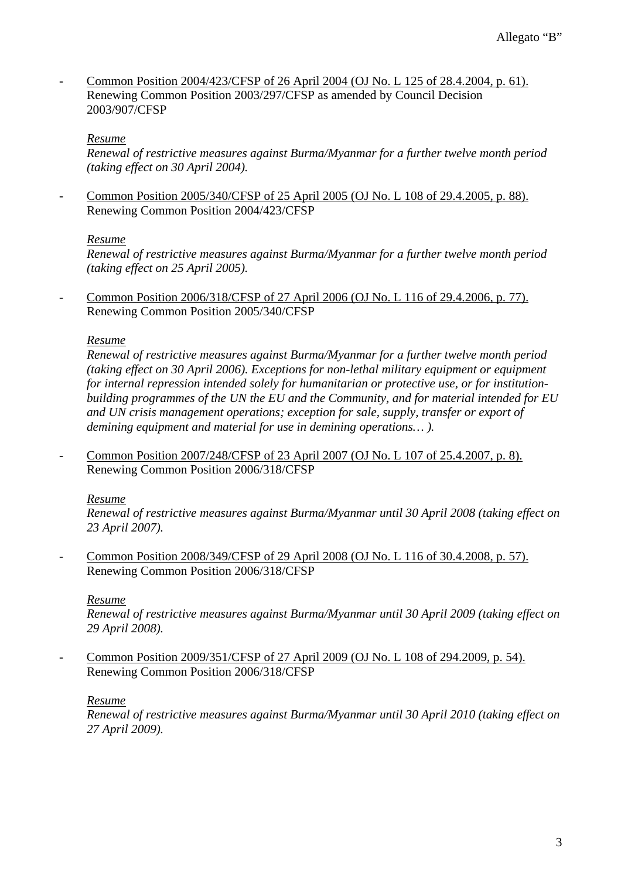- Common Position 2004/423/CFSP of 26 April 2004 (OJ No. L 125 of 28.4.2004, p. 61). Renewing Common Position 2003/297/CFSP as amended by Council Decision 2003/907/CFSP

#### *Resume*

*Renewal of restrictive measures against Burma/Myanmar for a further twelve month period (taking effect on 30 April 2004).* 

- Common Position 2005/340/CFSP of 25 April 2005 (OJ No. L 108 of 29.4.2005, p. 88). Renewing Common Position 2004/423/CFSP

#### *Resume*

*Renewal of restrictive measures against Burma/Myanmar for a further twelve month period (taking effect on 25 April 2005).* 

- Common Position 2006/318/CFSP of 27 April 2006 (OJ No. L 116 of 29.4.2006, p. 77). Renewing Common Position 2005/340/CFSP

#### *Resume*

*Renewal of restrictive measures against Burma/Myanmar for a further twelve month period (taking effect on 30 April 2006). Exceptions for non-lethal military equipment or equipment for internal repression intended solely for humanitarian or protective use, or for institutionbuilding programmes of the UN the EU and the Community, and for material intended for EU and UN crisis management operations; exception for sale, supply, transfer or export of demining equipment and material for use in demining operations… ).* 

- Common Position 2007/248/CFSP of 23 April 2007 (OJ No. L 107 of 25.4.2007, p. 8). Renewing Common Position 2006/318/CFSP

#### *Resume*

*Renewal of restrictive measures against Burma/Myanmar until 30 April 2008 (taking effect on 23 April 2007).* 

- Common Position 2008/349/CFSP of 29 April 2008 (OJ No. L 116 of 30.4.2008, p. 57). Renewing Common Position 2006/318/CFSP

#### *Resume*

*Renewal of restrictive measures against Burma/Myanmar until 30 April 2009 (taking effect on 29 April 2008).* 

- Common Position 2009/351/CFSP of 27 April 2009 (OJ No. L 108 of 294.2009, p. 54). Renewing Common Position 2006/318/CFSP

#### *Resume*

*Renewal of restrictive measures against Burma/Myanmar until 30 April 2010 (taking effect on 27 April 2009).*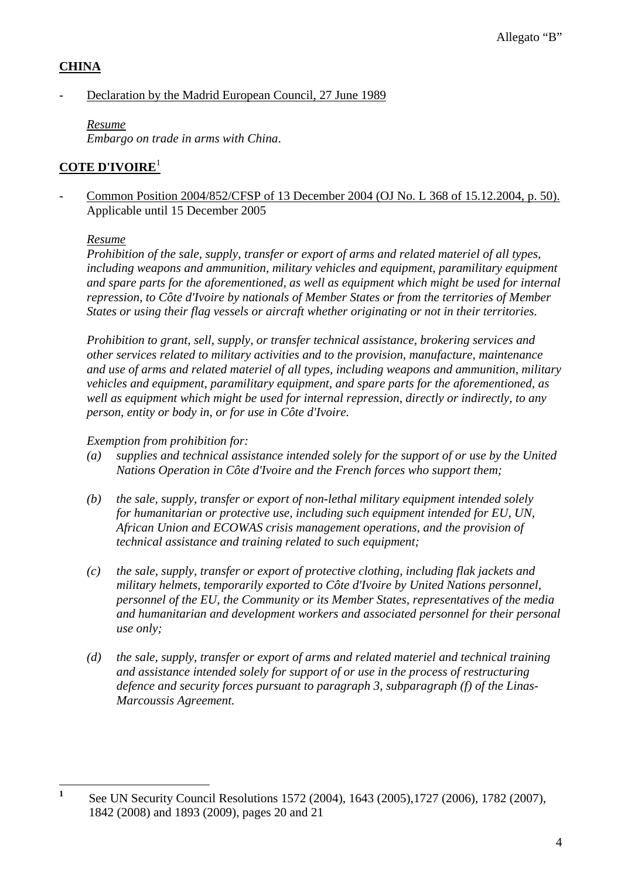## **CHINA**

## Declaration by the Madrid European Council, 27 June 1989

*Resume Embargo on trade in arms with China*.

## **COTE D'IVOIRE**<sup>1</sup>

- Common Position 2004/852/CFSP of 13 December 2004 (OJ No. L 368 of 15.12.2004, p. 50). Applicable until 15 December 2005

### *Resume*

*Prohibition of the sale, supply, transfer or export of arms and related materiel of all types, including weapons and ammunition, military vehicles and equipment, paramilitary equipment and spare parts for the aforementioned, as well as equipment which might be used for internal repression, to Côte d'Ivoire by nationals of Member States or from the territories of Member States or using their flag vessels or aircraft whether originating or not in their territories.* 

*Prohibition to grant, sell, supply, or transfer technical assistance, brokering services and other services related to military activities and to the provision, manufacture, maintenance and use of arms and related materiel of all types, including weapons and ammunition, military vehicles and equipment, paramilitary equipment, and spare parts for the aforementioned, as well as equipment which might be used for internal repression, directly or indirectly, to any person, entity or body in, or for use in Côte d'Ivoire.* 

### *Exemption from prohibition for:*

- *(a) supplies and technical assistance intended solely for the support of or use by the United Nations Operation in Côte d'Ivoire and the French forces who support them;*
- *(b) the sale, supply, transfer or export of non-lethal military equipment intended solely for humanitarian or protective use, including such equipment intended for EU, UN, African Union and ECOWAS crisis management operations, and the provision of technical assistance and training related to such equipment;*
- *(c) the sale, supply, transfer or export of protective clothing, including flak jackets and military helmets, temporarily exported to Côte d'Ivoire by United Nations personnel, personnel of the EU, the Community or its Member States, representatives of the media and humanitarian and development workers and associated personnel for their personal use only;*
- *(d) the sale, supply, transfer or export of arms and related materiel and technical training and assistance intended solely for support of or use in the process of restructuring defence and security forces pursuant to paragraph 3, subparagraph (f) of the Linas-Marcoussis Agreement.*

 **1** See UN Security Council Resolutions 1572 (2004), 1643 (2005),1727 (2006), 1782 (2007), 1842 (2008) and 1893 (2009), pages 20 and 21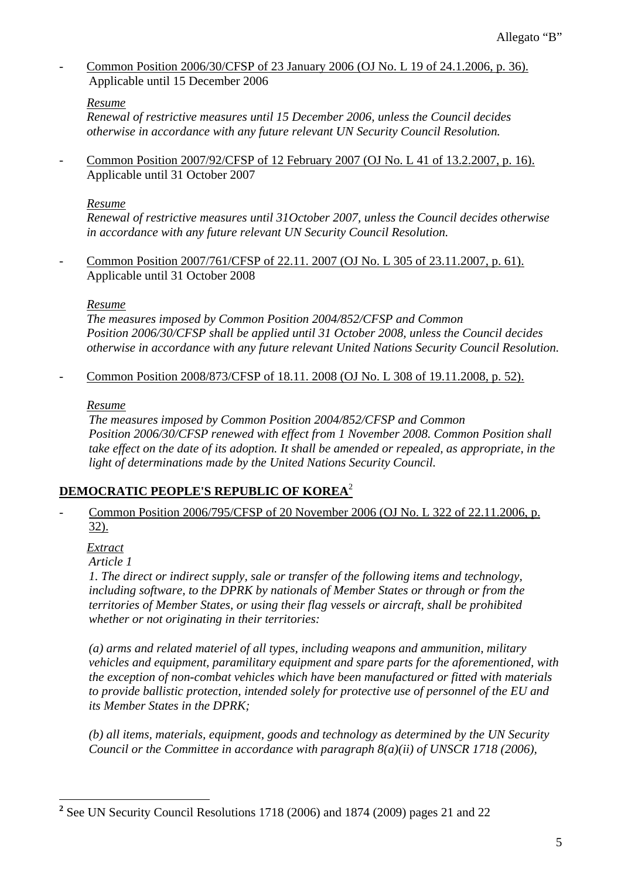Common Position 2006/30/CFSP of 23 January 2006 (OJ No. L 19 of 24.1.2006, p. 36). Applicable until 15 December 2006

## *Resume*

*Renewal of restrictive measures until 15 December 2006, unless the Council decides otherwise in accordance with any future relevant UN Security Council Resolution.* 

- Common Position 2007/92/CFSP of 12 February 2007 (OJ No. L 41 of 13.2.2007, p. 16). Applicable until 31 October 2007

### *Resume*

*Renewal of restrictive measures until 31October 2007, unless the Council decides otherwise in accordance with any future relevant UN Security Council Resolution.* 

Common Position 2007/761/CFSP of 22.11. 2007 (OJ No. L 305 of 23.11.2007, p. 61). Applicable until 31 October 2008

#### *Resume*

*The measures imposed by Common Position 2004/852/CFSP and Common Position 2006/30/CFSP shall be applied until 31 October 2008, unless the Council decides otherwise in accordance with any future relevant United Nations Security Council Resolution.* 

- Common Position 2008/873/CFSP of 18.11. 2008 (OJ No. L 308 of 19.11.2008, p. 52).

#### *Resume*

 *The measures imposed by Common Position 2004/852/CFSP and Common Position 2006/30/CFSP renewed with effect from 1 November 2008. Common Position shall*  take effect on the date of its adoption. It shall be amended or repealed, as appropriate, in the *light of determinations made by the United Nations Security Council.* 

## **DEMOCRATIC PEOPLE'S REPUBLIC OF KOREA**<sup>2</sup>

Common Position 2006/795/CFSP of 20 November 2006 (OJ No. L 322 of 22.11.2006, p. 32).

## *Extract*

 *Article 1* 

 *1. The direct or indirect supply, sale or transfer of the following items and technology, including software, to the DPRK by nationals of Member States or through or from the territories of Member States, or using their flag vessels or aircraft, shall be prohibited whether or not originating in their territories:* 

 *(a) arms and related materiel of all types, including weapons and ammunition, military vehicles and equipment, paramilitary equipment and spare parts for the aforementioned, with the exception of non-combat vehicles which have been manufactured or fitted with materials to provide ballistic protection, intended solely for protective use of personnel of the EU and its Member States in the DPRK;* 

 *(b) all items, materials, equipment, goods and technology as determined by the UN Security Council or the Committee in accordance with paragraph 8(a)(ii) of UNSCR 1718 (2006),* 

<sup>&</sup>lt;sup>2</sup> See UN Security Council Resolutions 1718 (2006) and 1874 (2009) pages 21 and 22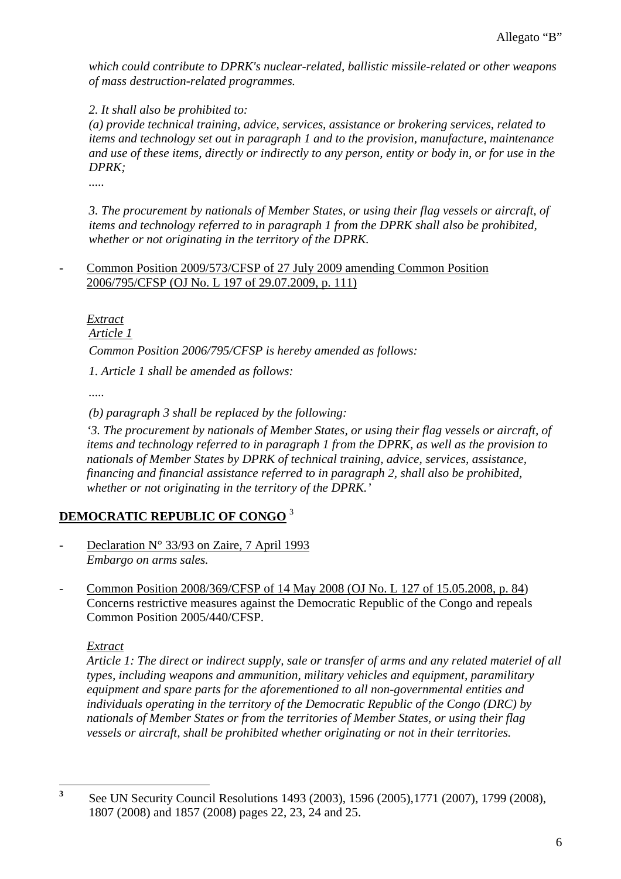*which could contribute to DPRK's nuclear-related, ballistic missile-related or other weapons of mass destruction-related programmes.* 

 *2. It shall also be prohibited to:* 

 *(a) provide technical training, advice, services, assistance or brokering services, related to items and technology set out in paragraph 1 and to the provision, manufacture, maintenance and use of these items, directly or indirectly to any person, entity or body in, or for use in the DPRK;* 

 *.....* 

 *3. The procurement by nationals of Member States, or using their flag vessels or aircraft, of items and technology referred to in paragraph 1 from the DPRK shall also be prohibited, whether or not originating in the territory of the DPRK.* 

- Common Position 2009/573/CFSP of 27 July 2009 amending Common Position 2006/795/CFSP (OJ No. L 197 of 29.07.2009, p. 111)

 *Extract*

 *Article 1* 

 *Common Position 2006/795/CFSP is hereby amended as follows:* 

 *1. Article 1 shall be amended as follows:* 

 *.....* 

 *(b) paragraph 3 shall be replaced by the following:* 

 *'3. The procurement by nationals of Member States, or using their flag vessels or aircraft, of items and technology referred to in paragraph 1 from the DPRK, as well as the provision to nationals of Member States by DPRK of technical training, advice, services, assistance, financing and financial assistance referred to in paragraph 2, shall also be prohibited, whether or not originating in the territory of the DPRK.'* 

# **DEMOCRATIC REPUBLIC OF CONGO** <sup>3</sup>

- Declaration N° 33/93 on Zaire, 7 April 1993  *Embargo on arms sales.*
- Common Position 2008/369/CFSP of 14 May 2008 (OJ No. L 127 of 15.05.2008, p. 84) Concerns restrictive measures against the Democratic Republic of the Congo and repeals Common Position 2005/440/CFSP.

#### *Extract*

*Article 1: The direct or indirect supply, sale or transfer of arms and any related materiel of all types, including weapons and ammunition, military vehicles and equipment, paramilitary equipment and spare parts for the aforementioned to all non-governmental entities and individuals operating in the territory of the Democratic Republic of the Congo (DRC) by nationals of Member States or from the territories of Member States, or using their flag vessels or aircraft, shall be prohibited whether originating or not in their territories.* 

 **3** See UN Security Council Resolutions 1493 (2003), 1596 (2005),1771 (2007), 1799 (2008), 1807 (2008) and 1857 (2008) pages 22, 23, 24 and 25.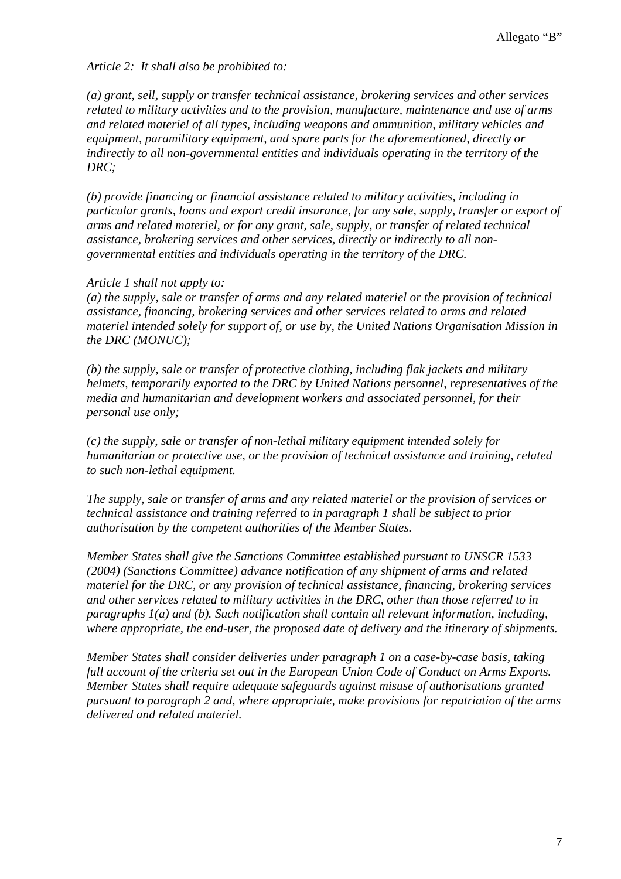#### *Article 2: It shall also be prohibited to:*

*(a) grant, sell, supply or transfer technical assistance, brokering services and other services related to military activities and to the provision, manufacture, maintenance and use of arms and related materiel of all types, including weapons and ammunition, military vehicles and equipment, paramilitary equipment, and spare parts for the aforementioned, directly or indirectly to all non-governmental entities and individuals operating in the territory of the DRC;* 

*(b) provide financing or financial assistance related to military activities, including in particular grants, loans and export credit insurance, for any sale, supply, transfer or export of arms and related materiel, or for any grant, sale, supply, or transfer of related technical assistance, brokering services and other services, directly or indirectly to all nongovernmental entities and individuals operating in the territory of the DRC.* 

#### *Article 1 shall not apply to:*

*(a) the supply, sale or transfer of arms and any related materiel or the provision of technical assistance, financing, brokering services and other services related to arms and related materiel intended solely for support of, or use by, the United Nations Organisation Mission in the DRC (MONUC);* 

*(b) the supply, sale or transfer of protective clothing, including flak jackets and military helmets, temporarily exported to the DRC by United Nations personnel, representatives of the media and humanitarian and development workers and associated personnel, for their personal use only;* 

*(c) the supply, sale or transfer of non-lethal military equipment intended solely for humanitarian or protective use, or the provision of technical assistance and training, related to such non-lethal equipment.* 

*The supply, sale or transfer of arms and any related materiel or the provision of services or technical assistance and training referred to in paragraph 1 shall be subject to prior authorisation by the competent authorities of the Member States.* 

*Member States shall give the Sanctions Committee established pursuant to UNSCR 1533 (2004) (Sanctions Committee) advance notification of any shipment of arms and related materiel for the DRC, or any provision of technical assistance, financing, brokering services and other services related to military activities in the DRC, other than those referred to in paragraphs 1(a) and (b). Such notification shall contain all relevant information, including, where appropriate, the end-user, the proposed date of delivery and the itinerary of shipments.* 

*Member States shall consider deliveries under paragraph 1 on a case-by-case basis, taking full account of the criteria set out in the European Union Code of Conduct on Arms Exports. Member States shall require adequate safeguards against misuse of authorisations granted pursuant to paragraph 2 and, where appropriate, make provisions for repatriation of the arms delivered and related materiel.*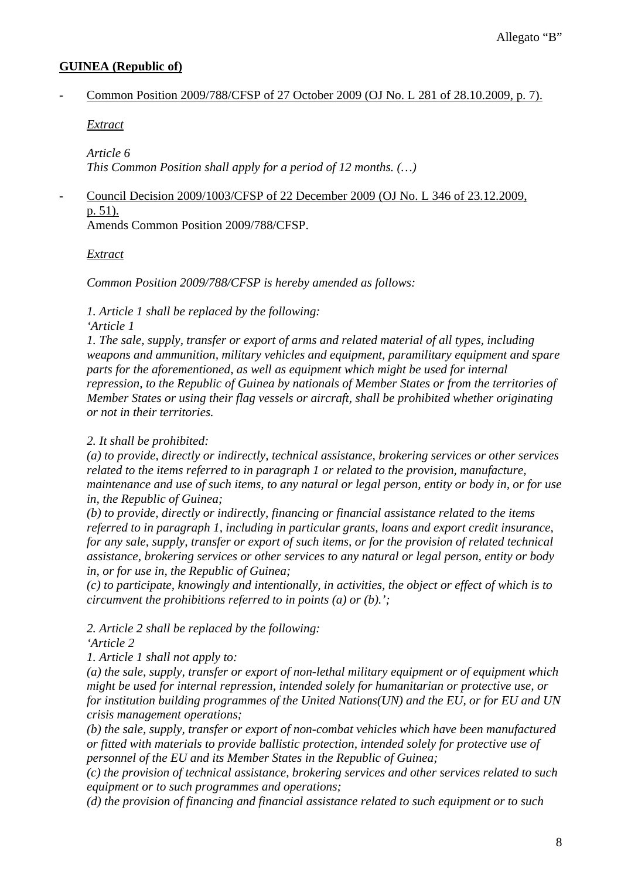### **GUINEA (Republic of)**

- Common Position 2009/788/CFSP of 27 October 2009 (OJ No. L 281 of 28.10.2009, p. 7).

*Extract*

*Article 6 This Common Position shall apply for a period of 12 months. (…)* 

# - Council Decision 2009/1003/CFSP of 22 December 2009 (OJ No. L 346 of 23.12.2009, p. 51).

Amends Common Position 2009/788/CFSP.

*Extract*

*Common Position 2009/788/CFSP is hereby amended as follows:* 

*1. Article 1 shall be replaced by the following:* 

*'Article 1* 

*1. The sale, supply, transfer or export of arms and related material of all types, including weapons and ammunition, military vehicles and equipment, paramilitary equipment and spare parts for the aforementioned, as well as equipment which might be used for internal repression, to the Republic of Guinea by nationals of Member States or from the territories of Member States or using their flag vessels or aircraft, shall be prohibited whether originating or not in their territories.* 

## *2. It shall be prohibited:*

*(a) to provide, directly or indirectly, technical assistance, brokering services or other services related to the items referred to in paragraph 1 or related to the provision, manufacture, maintenance and use of such items, to any natural or legal person, entity or body in, or for use in, the Republic of Guinea;* 

*(b) to provide, directly or indirectly, financing or financial assistance related to the items referred to in paragraph 1, including in particular grants, loans and export credit insurance, for any sale, supply, transfer or export of such items, or for the provision of related technical assistance, brokering services or other services to any natural or legal person, entity or body in, or for use in, the Republic of Guinea;* 

*(c) to participate, knowingly and intentionally, in activities, the object or effect of which is to circumvent the prohibitions referred to in points (a) or (b).';* 

*2. Article 2 shall be replaced by the following:* 

*'Article 2* 

*1. Article 1 shall not apply to:* 

*(a) the sale, supply, transfer or export of non-lethal military equipment or of equipment which might be used for internal repression, intended solely for humanitarian or protective use, or for institution building programmes of the United Nations(UN) and the EU, or for EU and UN crisis management operations;* 

*(b) the sale, supply, transfer or export of non-combat vehicles which have been manufactured or fitted with materials to provide ballistic protection, intended solely for protective use of personnel of the EU and its Member States in the Republic of Guinea;* 

*(c) the provision of technical assistance, brokering services and other services related to such equipment or to such programmes and operations;* 

*(d) the provision of financing and financial assistance related to such equipment or to such*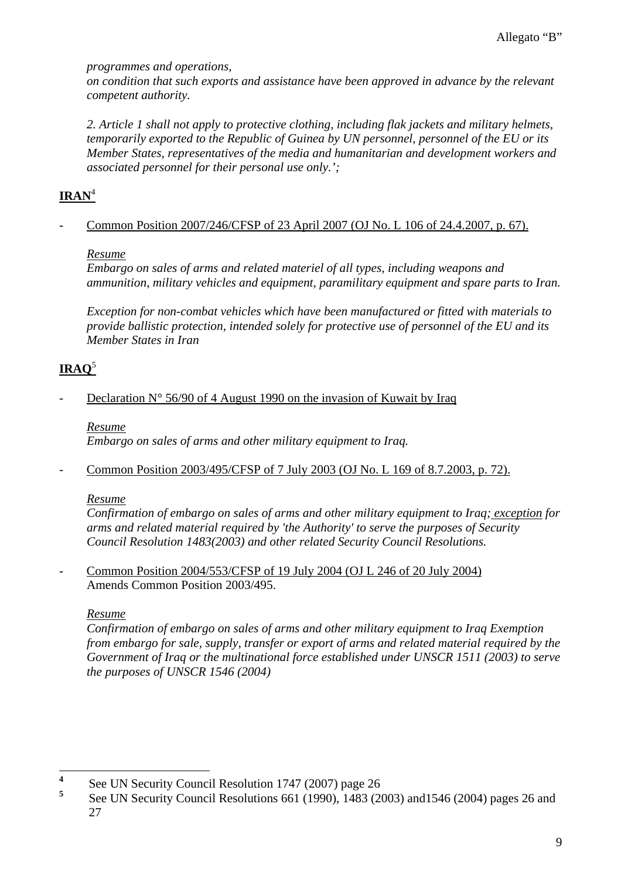*programmes and operations,* 

*on condition that such exports and assistance have been approved in advance by the relevant competent authority.* 

*2. Article 1 shall not apply to protective clothing, including flak jackets and military helmets, temporarily exported to the Republic of Guinea by UN personnel, personnel of the EU or its Member States, representatives of the media and humanitarian and development workers and associated personnel for their personal use only.';* 

# **IRAN**<sup>4</sup>

## Common Position 2007/246/CFSP of 23 April 2007 (OJ No. L 106 of 24.4.2007, p. 67).

## *Resume*

*Embargo on sales of arms and related materiel of all types, including weapons and ammunition, military vehicles and equipment, paramilitary equipment and spare parts to Iran.* 

*Exception for non-combat vehicles which have been manufactured or fitted with materials to provide ballistic protection, intended solely for protective use of personnel of the EU and its Member States in Iran*

# $IRAO<sup>5</sup>$

## Declaration  $N^{\circ}$  56/90 of 4 August 1990 on the invasion of Kuwait by Iraq

*Resume Embargo on sales of arms and other military equipment to Iraq.* 

- Common Position 2003/495/CFSP of 7 July 2003 (OJ No. L 169 of 8.7.2003, p. 72).

## *Resume*

*Confirmation of embargo on sales of arms and other military equipment to Iraq; exception for arms and related material required by 'the Authority' to serve the purposes of Security Council Resolution 1483(2003) and other related Security Council Resolutions.* 

- Common Position 2004/553/CFSP of 19 July 2004 (OJ L 246 of 20 July 2004) Amends Common Position 2003/495.

## *Resume*

*Confirmation of embargo on sales of arms and other military equipment to Iraq Exemption from embargo for sale, supply, transfer or export of arms and related material required by the Government of Iraq or the multinational force established under UNSCR 1511 (2003) to serve the purposes of UNSCR 1546 (2004)* 

 **4** See UN Security Council Resolution 1747 (2007) page 26 **5**

See UN Security Council Resolutions 661 (1990), 1483 (2003) and1546 (2004) pages 26 and 27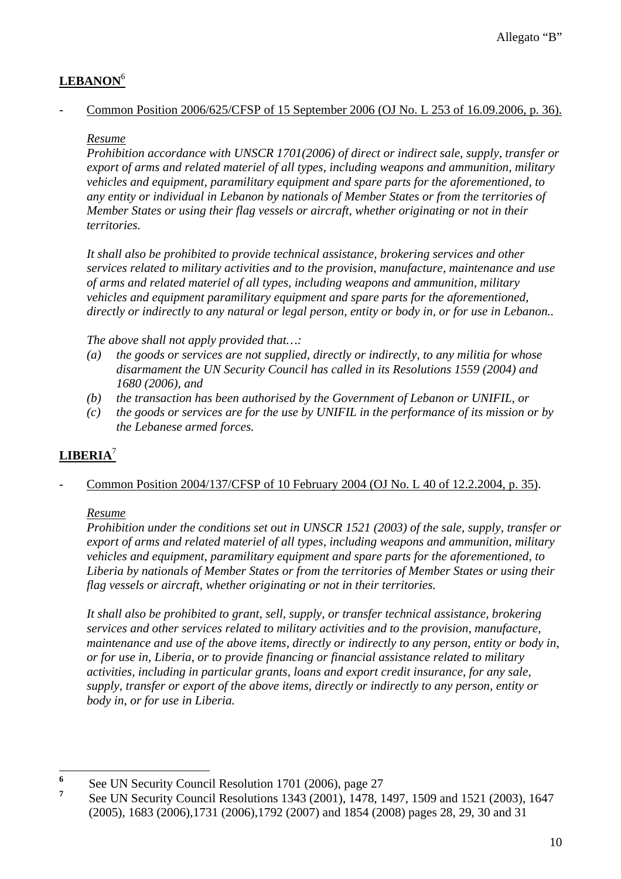# **LEBANON**<sup>6</sup>

### - Common Position 2006/625/CFSP of 15 September 2006 (OJ No. L 253 of 16.09.2006, p. 36).

## *Resume*

*Prohibition accordance with UNSCR 1701(2006) of direct or indirect sale, supply, transfer or export of arms and related materiel of all types, including weapons and ammunition, military vehicles and equipment, paramilitary equipment and spare parts for the aforementioned, to any entity or individual in Lebanon by nationals of Member States or from the territories of Member States or using their flag vessels or aircraft, whether originating or not in their territories.* 

*It shall also be prohibited to provide technical assistance, brokering services and other services related to military activities and to the provision, manufacture, maintenance and use of arms and related materiel of all types, including weapons and ammunition, military vehicles and equipment paramilitary equipment and spare parts for the aforementioned, directly or indirectly to any natural or legal person, entity or body in, or for use in Lebanon..* 

*The above shall not apply provided that…:* 

- *(a) the goods or services are not supplied, directly or indirectly, to any militia for whose disarmament the UN Security Council has called in its Resolutions 1559 (2004) and 1680 (2006), and*
- *(b) the transaction has been authorised by the Government of Lebanon or UNIFIL, or*
- *(c) the goods or services are for the use by UNIFIL in the performance of its mission or by the Lebanese armed forces.*

## **LIBERIA**<sup>7</sup>

## Common Position 2004/137/CFSP of 10 February 2004 (OJ No. L 40 of 12.2.2004, p. 35).

## *Resume*

*Prohibition under the conditions set out in UNSCR 1521 (2003) of the sale, supply, transfer or export of arms and related materiel of all types, including weapons and ammunition, military vehicles and equipment, paramilitary equipment and spare parts for the aforementioned, to Liberia by nationals of Member States or from the territories of Member States or using their flag vessels or aircraft, whether originating or not in their territories.* 

*It shall also be prohibited to grant, sell, supply, or transfer technical assistance, brokering services and other services related to military activities and to the provision, manufacture, maintenance and use of the above items, directly or indirectly to any person, entity or body in, or for use in, Liberia, or to provide financing or financial assistance related to military activities, including in particular grants, loans and export credit insurance, for any sale, supply, transfer or export of the above items, directly or indirectly to any person, entity or body in, or for use in Liberia.* 

 $\overline{a}$ **6** See UN Security Council Resolution 1701 (2006), page 27

**<sup>7</sup>** See UN Security Council Resolutions 1343 (2001), 1478, 1497, 1509 and 1521 (2003), 1647 (2005), 1683 (2006),1731 (2006),1792 (2007) and 1854 (2008) pages 28, 29, 30 and 31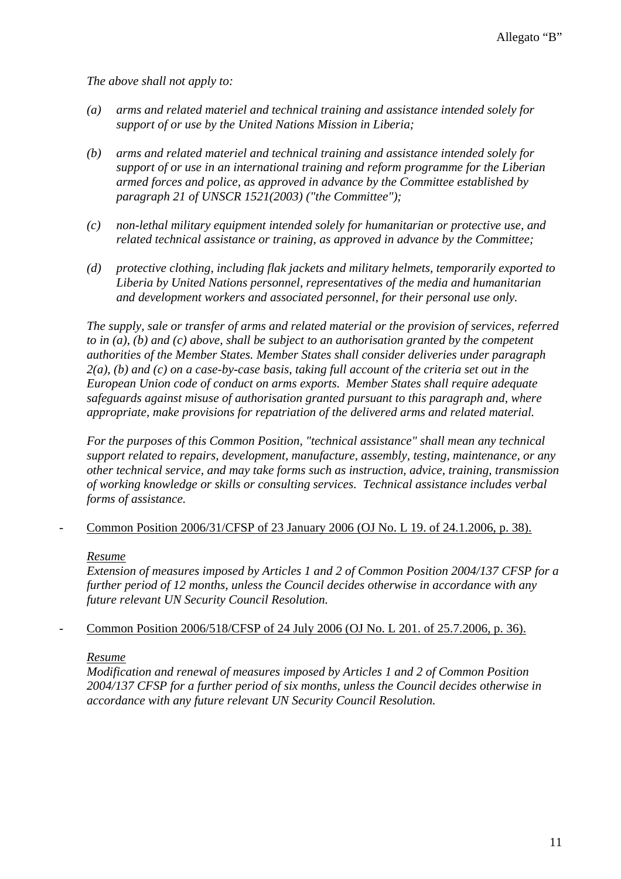*The above shall not apply to:* 

- *(a) arms and related materiel and technical training and assistance intended solely for support of or use by the United Nations Mission in Liberia;*
- *(b) arms and related materiel and technical training and assistance intended solely for support of or use in an international training and reform programme for the Liberian armed forces and police, as approved in advance by the Committee established by paragraph 21 of UNSCR 1521(2003) ("the Committee");*
- *(c) non-lethal military equipment intended solely for humanitarian or protective use, and related technical assistance or training, as approved in advance by the Committee;*
- *(d) protective clothing, including flak jackets and military helmets, temporarily exported to Liberia by United Nations personnel, representatives of the media and humanitarian and development workers and associated personnel, for their personal use only.*

*The supply, sale or transfer of arms and related material or the provision of services, referred to in (a), (b) and (c) above, shall be subject to an authorisation granted by the competent authorities of the Member States. Member States shall consider deliveries under paragraph 2(a), (b) and (c) on a case-by-case basis, taking full account of the criteria set out in the European Union code of conduct on arms exports. Member States shall require adequate safeguards against misuse of authorisation granted pursuant to this paragraph and, where appropriate, make provisions for repatriation of the delivered arms and related material.* 

*For the purposes of this Common Position, "technical assistance" shall mean any technical support related to repairs, development, manufacture, assembly, testing, maintenance, or any other technical service, and may take forms such as instruction, advice, training, transmission of working knowledge or skills or consulting services. Technical assistance includes verbal forms of assistance.* 

- Common Position 2006/31/CFSP of 23 January 2006 (OJ No. L 19. of 24.1.2006, p. 38).

#### *Resume*

*Extension of measures imposed by Articles 1 and 2 of Common Position 2004/137 CFSP for a further period of 12 months, unless the Council decides otherwise in accordance with any future relevant UN Security Council Resolution.* 

## - Common Position 2006/518/CFSP of 24 July 2006 (OJ No. L 201. of 25.7.2006, p. 36).

#### *Resume*

*Modification and renewal of measures imposed by Articles 1 and 2 of Common Position 2004/137 CFSP for a further period of six months, unless the Council decides otherwise in accordance with any future relevant UN Security Council Resolution.*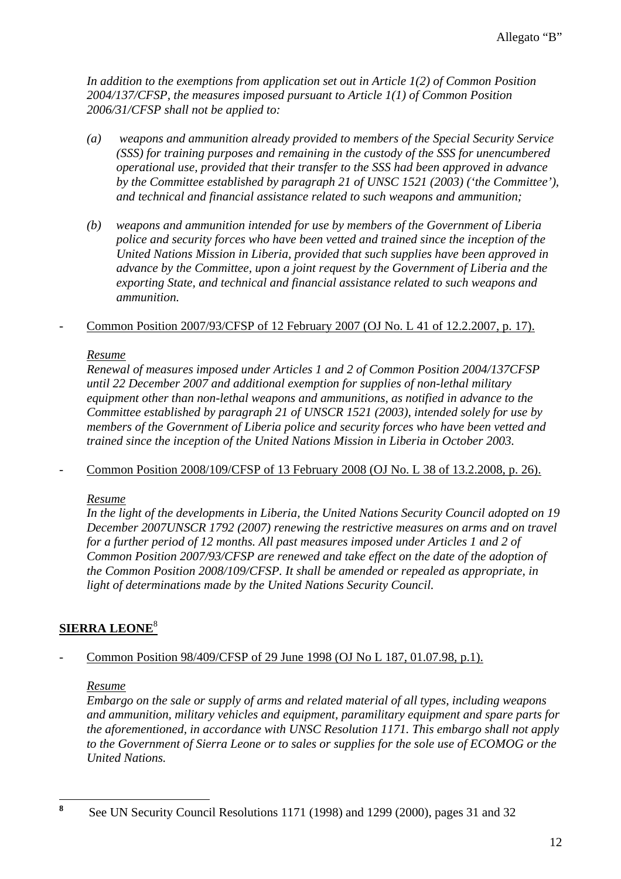*In addition to the exemptions from application set out in Article 1(2) of Common Position 2004/137/CFSP, the measures imposed pursuant to Article 1(1) of Common Position 2006/31/CFSP shall not be applied to:* 

- *(a) weapons and ammunition already provided to members of the Special Security Service (SSS) for training purposes and remaining in the custody of the SSS for unencumbered operational use, provided that their transfer to the SSS had been approved in advance by the Committee established by paragraph 21 of UNSC 1521 (2003) ('the Committee'), and technical and financial assistance related to such weapons and ammunition;*
- *(b) weapons and ammunition intended for use by members of the Government of Liberia police and security forces who have been vetted and trained since the inception of the United Nations Mission in Liberia, provided that such supplies have been approved in advance by the Committee, upon a joint request by the Government of Liberia and the exporting State, and technical and financial assistance related to such weapons and ammunition.*

## - Common Position 2007/93/CFSP of 12 February 2007 (OJ No. L 41 of 12.2.2007, p. 17).

## *Resume*

*Renewal of measures imposed under Articles 1 and 2 of Common Position 2004/137CFSP until 22 December 2007 and additional exemption for supplies of non-lethal military equipment other than non-lethal weapons and ammunitions, as notified in advance to the Committee established by paragraph 21 of UNSCR 1521 (2003), intended solely for use by members of the Government of Liberia police and security forces who have been vetted and trained since the inception of the United Nations Mission in Liberia in October 2003.* 

- Common Position 2008/109/CFSP of 13 February 2008 (OJ No. L 38 of 13.2.2008, p. 26).

#### *Resume*

*In the light of the developments in Liberia, the United Nations Security Council adopted on 19 December 2007UNSCR 1792 (2007) renewing the restrictive measures on arms and on travel for a further period of 12 months. All past measures imposed under Articles 1 and 2 of Common Position 2007/93/CFSP are renewed and take effect on the date of the adoption of the Common Position 2008/109/CFSP. It shall be amended or repealed as appropriate, in light of determinations made by the United Nations Security Council.* 

## **SIERRA LEONE**<sup>8</sup>

## Common Position 98/409/CFSP of 29 June 1998 (OJ No L 187, 01.07.98, p.1).

## *Resume*

*Embargo on the sale or supply of arms and related material of all types, including weapons and ammunition, military vehicles and equipment, paramilitary equipment and spare parts for the aforementioned, in accordance with UNSC Resolution 1171. This embargo shall not apply to the Government of Sierra Leone or to sales or supplies for the sole use of ECOMOG or the United Nations.* 

 **8** See UN Security Council Resolutions 1171 (1998) and 1299 (2000), pages 31 and 32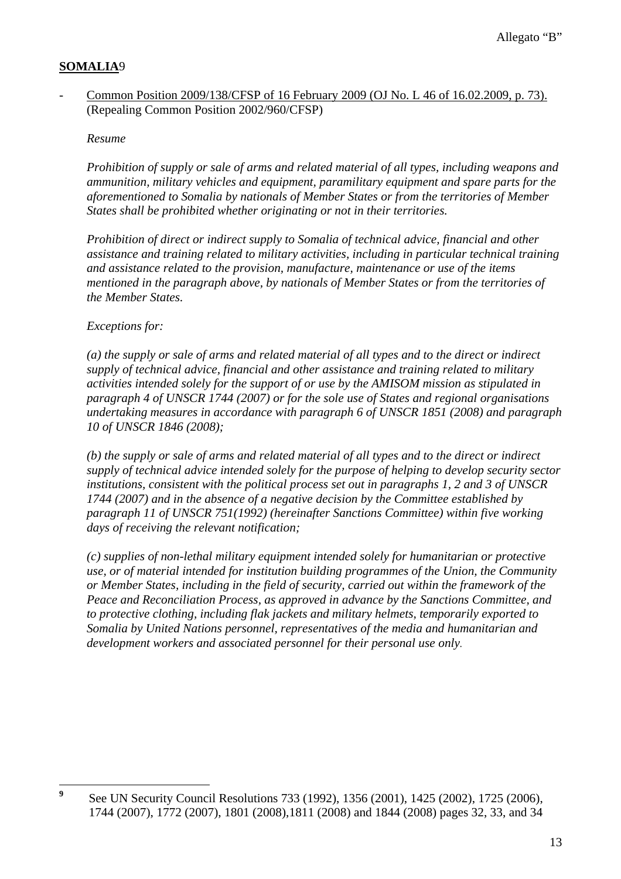## **SOMALIA**9

### - Common Position 2009/138/CFSP of 16 February 2009 (OJ No. L 46 of 16.02.2009, p. 73). (Repealing Common Position 2002/960/CFSP)

#### *Resume*

*Prohibition of supply or sale of arms and related material of all types, including weapons and ammunition, military vehicles and equipment, paramilitary equipment and spare parts for the aforementioned to Somalia by nationals of Member States or from the territories of Member States shall be prohibited whether originating or not in their territories.* 

*Prohibition of direct or indirect supply to Somalia of technical advice, financial and other assistance and training related to military activities, including in particular technical training and assistance related to the provision, manufacture, maintenance or use of the items mentioned in the paragraph above, by nationals of Member States or from the territories of the Member States.* 

### *Exceptions for:*

*(a) the supply or sale of arms and related material of all types and to the direct or indirect supply of technical advice, financial and other assistance and training related to military activities intended solely for the support of or use by the AMISOM mission as stipulated in paragraph 4 of UNSCR 1744 (2007) or for the sole use of States and regional organisations undertaking measures in accordance with paragraph 6 of UNSCR 1851 (2008) and paragraph 10 of UNSCR 1846 (2008);* 

*(b) the supply or sale of arms and related material of all types and to the direct or indirect supply of technical advice intended solely for the purpose of helping to develop security sector institutions, consistent with the political process set out in paragraphs 1, 2 and 3 of UNSCR 1744 (2007) and in the absence of a negative decision by the Committee established by paragraph 11 of UNSCR 751(1992) (hereinafter Sanctions Committee) within five working days of receiving the relevant notification;* 

*(c) supplies of non-lethal military equipment intended solely for humanitarian or protective use, or of material intended for institution building programmes of the Union, the Community or Member States, including in the field of security, carried out within the framework of the Peace and Reconciliation Process, as approved in advance by the Sanctions Committee, and to protective clothing, including flak jackets and military helmets, temporarily exported to Somalia by United Nations personnel, representatives of the media and humanitarian and development workers and associated personnel for their personal use only.*

 **9** See UN Security Council Resolutions 733 (1992), 1356 (2001), 1425 (2002), 1725 (2006), 1744 (2007), 1772 (2007), 1801 (2008),1811 (2008) and 1844 (2008) pages 32, 33, and 34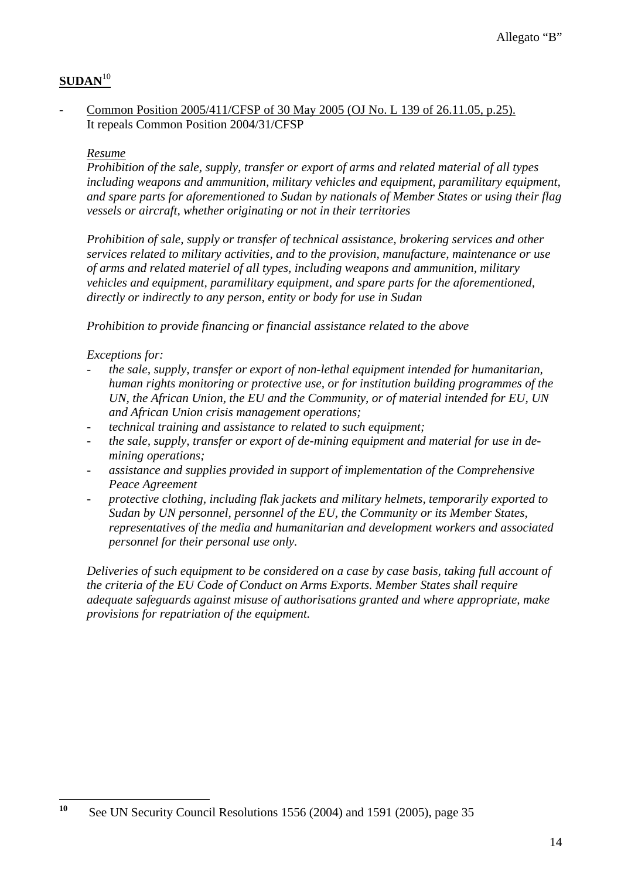## **SUDAN**<sup>10</sup>

### Common Position 2005/411/CFSP of 30 May 2005 (OJ No. L 139 of 26.11.05, p.25). It repeals Common Position 2004/31/CFSP

### *Resume*

*Prohibition of the sale, supply, transfer or export of arms and related material of all types including weapons and ammunition, military vehicles and equipment, paramilitary equipment, and spare parts for aforementioned to Sudan by nationals of Member States or using their flag vessels or aircraft, whether originating or not in their territories* 

*Prohibition of sale, supply or transfer of technical assistance, brokering services and other services related to military activities, and to the provision, manufacture, maintenance or use of arms and related materiel of all types, including weapons and ammunition, military vehicles and equipment, paramilitary equipment, and spare parts for the aforementioned, directly or indirectly to any person, entity or body for use in Sudan* 

*Prohibition to provide financing or financial assistance related to the above* 

### *Exceptions for:*

- *the sale, supply, transfer or export of non-lethal equipment intended for humanitarian, human rights monitoring or protective use, or for institution building programmes of the UN, the African Union, the EU and the Community, or of material intended for EU, UN and African Union crisis management operations;*
- *technical training and assistance to related to such equipment;*
- *the sale, supply, transfer or export of de-mining equipment and material for use in demining operations;*
- *assistance and supplies provided in support of implementation of the Comprehensive Peace Agreement*
- *protective clothing, including flak jackets and military helmets, temporarily exported to Sudan by UN personnel, personnel of the EU, the Community or its Member States, representatives of the media and humanitarian and development workers and associated personnel for their personal use only.*

*Deliveries of such equipment to be considered on a case by case basis, taking full account of the criteria of the EU Code of Conduct on Arms Exports. Member States shall require adequate safeguards against misuse of authorisations granted and where appropriate, make provisions for repatriation of the equipment.*

 $10$ **<sup>10</sup>** See UN Security Council Resolutions 1556 (2004) and 1591 (2005), page 35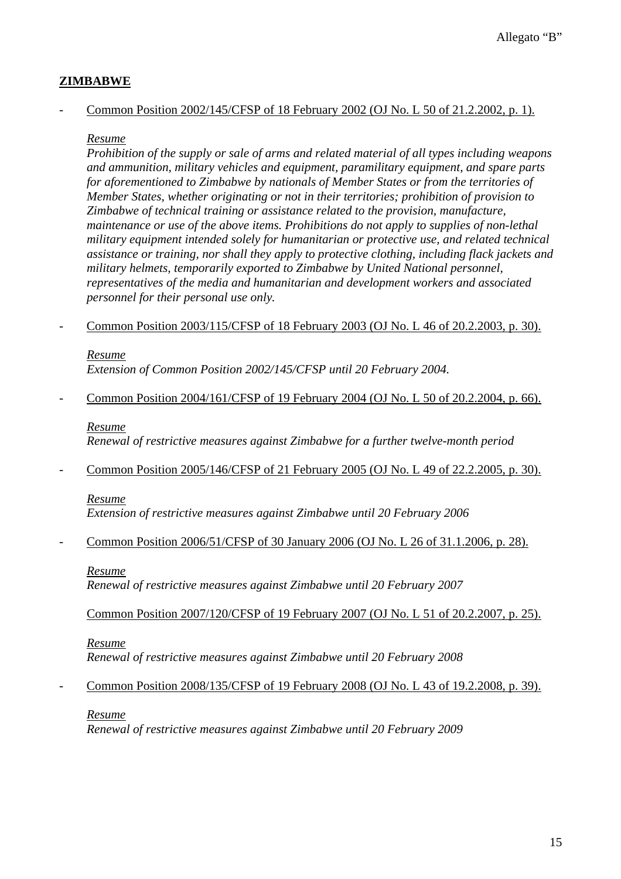## **ZIMBABWE**

### - Common Position 2002/145/CFSP of 18 February 2002 (OJ No. L 50 of 21.2.2002, p. 1).

### *Resume*

*Prohibition of the supply or sale of arms and related material of all types including weapons and ammunition, military vehicles and equipment, paramilitary equipment, and spare parts for aforementioned to Zimbabwe by nationals of Member States or from the territories of Member States, whether originating or not in their territories; prohibition of provision to Zimbabwe of technical training or assistance related to the provision, manufacture, maintenance or use of the above items. Prohibitions do not apply to supplies of non-lethal military equipment intended solely for humanitarian or protective use, and related technical assistance or training, nor shall they apply to protective clothing, including flack jackets and military helmets, temporarily exported to Zimbabwe by United National personnel, representatives of the media and humanitarian and development workers and associated personnel for their personal use only.* 

- Common Position 2003/115/CFSP of 18 February 2003 (OJ No. L 46 of 20.2.2003, p. 30).

## *Resume*

*Extension of Common Position 2002/145/CFSP until 20 February 2004.* 

- Common Position 2004/161/CFSP of 19 February 2004 (OJ No. L 50 of 20.2.2004, p. 66).

### *Resume*

*Renewal of restrictive measures against Zimbabwe for a further twelve-month period* 

- Common Position 2005/146/CFSP of 21 February 2005 (OJ No. L 49 of 22.2.2005, p. 30).

#### *Resume*

*Extension of restrictive measures against Zimbabwe until 20 February 2006* 

- Common Position 2006/51/CFSP of 30 January 2006 (OJ No. L 26 of 31.1.2006, p. 28).

## *Resume*

*Renewal of restrictive measures against Zimbabwe until 20 February 2007* 

Common Position 2007/120/CFSP of 19 February 2007 (OJ No. L 51 of 20.2.2007, p. 25).

## *Resume*

*Renewal of restrictive measures against Zimbabwe until 20 February 2008* 

Common Position 2008/135/CFSP of 19 February 2008 (OJ No. L 43 of 19.2.2008, p. 39).

## *Resume*

*Renewal of restrictive measures against Zimbabwe until 20 February 2009*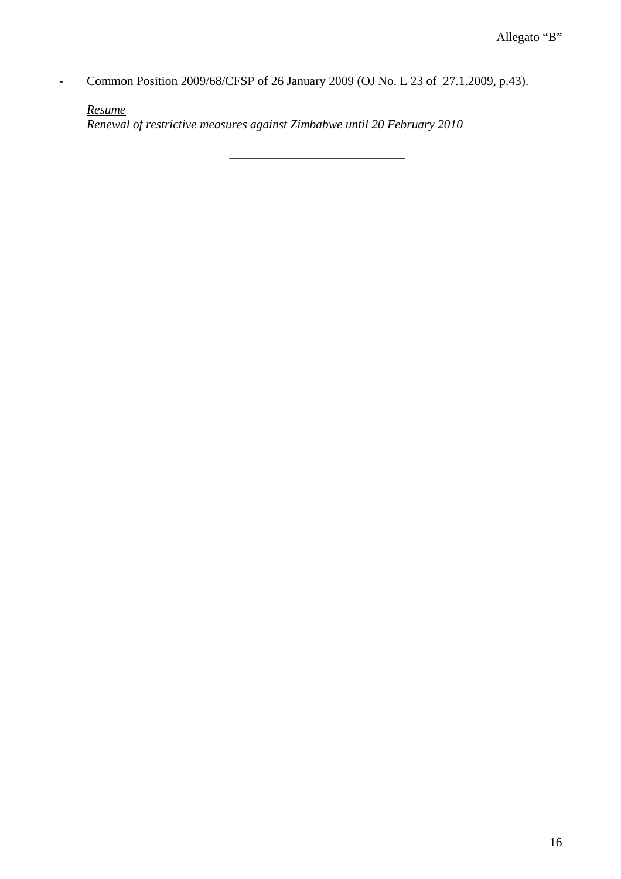*-* Common Position 2009/68/CFSP of 26 January 2009 (OJ No. L 23 of 27.1.2009, p.43).

*Resume*

*Renewal of restrictive measures against Zimbabwe until 20 February 2010* 

 $\frac{1}{2}$  ,  $\frac{1}{2}$  ,  $\frac{1}{2}$  ,  $\frac{1}{2}$  ,  $\frac{1}{2}$  ,  $\frac{1}{2}$  ,  $\frac{1}{2}$  ,  $\frac{1}{2}$  ,  $\frac{1}{2}$  ,  $\frac{1}{2}$  ,  $\frac{1}{2}$  ,  $\frac{1}{2}$  ,  $\frac{1}{2}$  ,  $\frac{1}{2}$  ,  $\frac{1}{2}$  ,  $\frac{1}{2}$  ,  $\frac{1}{2}$  ,  $\frac{1}{2}$  ,  $\frac{1$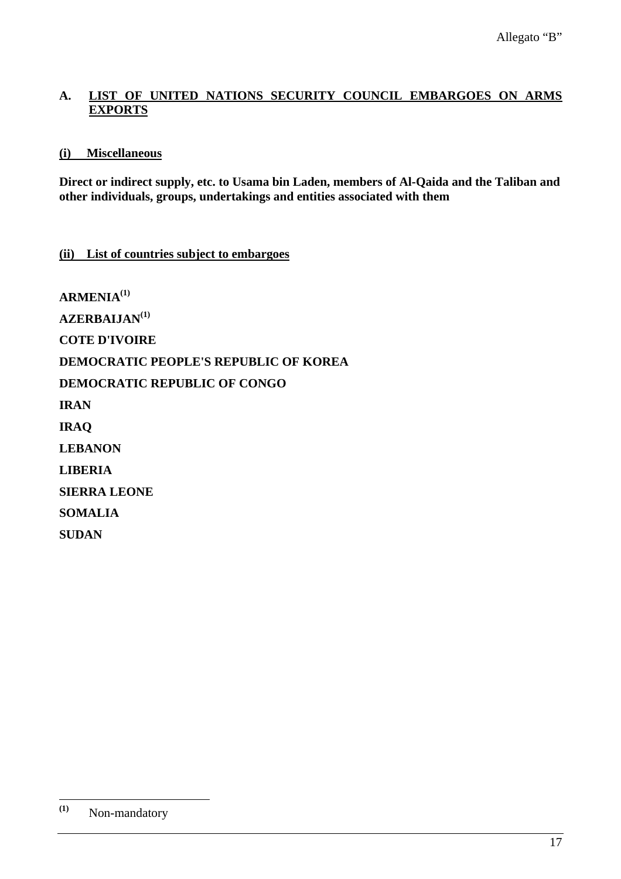## **A. LIST OF UNITED NATIONS SECURITY COUNCIL EMBARGOES ON ARMS EXPORTS**

## **(i) Miscellaneous**

**Direct or indirect supply, etc. to Usama bin Laden, members of Al-Qaida and the Taliban and other individuals, groups, undertakings and entities associated with them** 

## **(ii) List of countries subject to embargoes**

**ARMENIA(1) AZERBAIJAN(1) COTE D'IVOIRE DEMOCRATIC PEOPLE'S REPUBLIC OF KOREA DEMOCRATIC REPUBLIC OF CONGO IRAN IRAQ LEBANON LIBERIA SIERRA LEONE SOMALIA SUDAN** 

 $(1)$ **(1)** Non-mandatory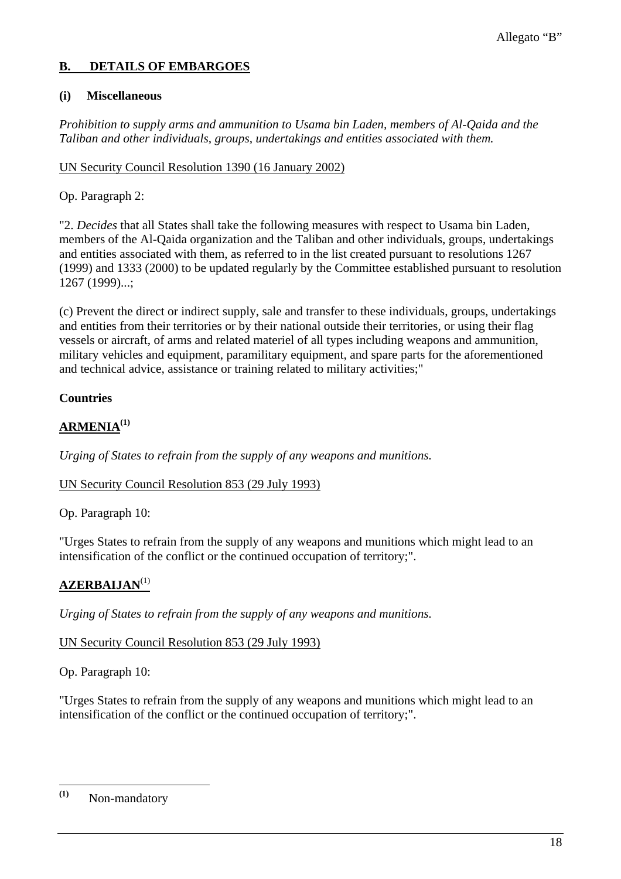## **B. DETAILS OF EMBARGOES**

### **(i) Miscellaneous**

*Prohibition to supply arms and ammunition to Usama bin Laden, members of Al-Qaida and the Taliban and other individuals, groups, undertakings and entities associated with them.* 

### UN Security Council Resolution 1390 (16 January 2002)

## Op. Paragraph 2:

"2. *Decides* that all States shall take the following measures with respect to Usama bin Laden, members of the Al-Qaida organization and the Taliban and other individuals, groups, undertakings and entities associated with them, as referred to in the list created pursuant to resolutions 1267 (1999) and 1333 (2000) to be updated regularly by the Committee established pursuant to resolution 1267 (1999)...;

(c) Prevent the direct or indirect supply, sale and transfer to these individuals, groups, undertakings and entities from their territories or by their national outside their territories, or using their flag vessels or aircraft, of arms and related materiel of all types including weapons and ammunition, military vehicles and equipment, paramilitary equipment, and spare parts for the aforementioned and technical advice, assistance or training related to military activities;"

## **Countries**

# **ARMENIA(1)**

*Urging of States to refrain from the supply of any weapons and munitions.*

## UN Security Council Resolution 853 (29 July 1993)

Op. Paragraph 10:

"Urges States to refrain from the supply of any weapons and munitions which might lead to an intensification of the conflict or the continued occupation of territory;".

## **AZERBAIJAN**(1)

*Urging of States to refrain from the supply of any weapons and munitions.*

## UN Security Council Resolution 853 (29 July 1993)

Op. Paragraph 10:

"Urges States to refrain from the supply of any weapons and munitions which might lead to an intensification of the conflict or the continued occupation of territory;".

 $(1)$ **(1)** Non-mandatory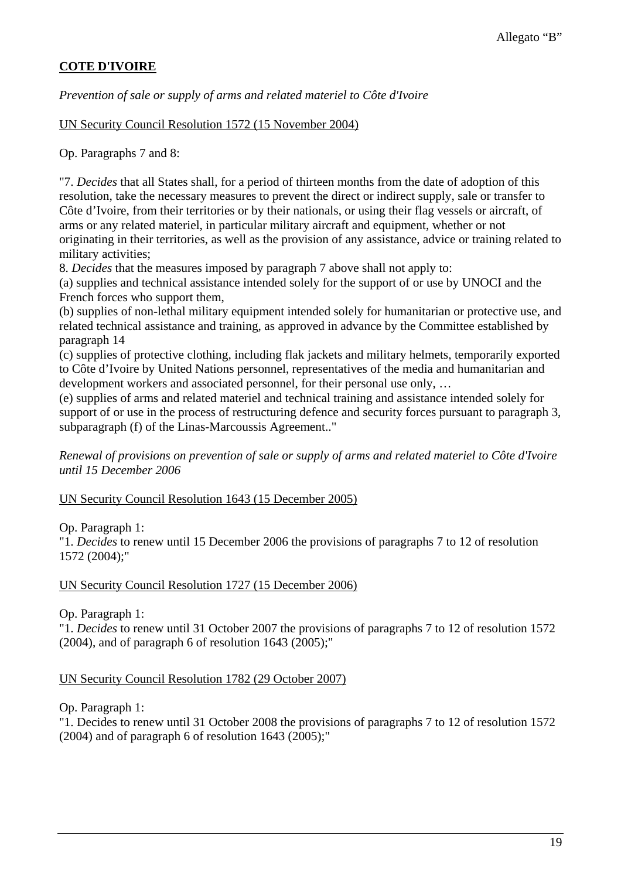## **COTE D'IVOIRE**

*Prevention of sale or supply of arms and related materiel to Côte d'Ivoire*

UN Security Council Resolution 1572 (15 November 2004)

Op. Paragraphs 7 and 8:

"7. *Decides* that all States shall, for a period of thirteen months from the date of adoption of this resolution, take the necessary measures to prevent the direct or indirect supply, sale or transfer to Côte d'Ivoire, from their territories or by their nationals, or using their flag vessels or aircraft, of arms or any related materiel, in particular military aircraft and equipment, whether or not originating in their territories, as well as the provision of any assistance, advice or training related to military activities;

8. *Decides* that the measures imposed by paragraph 7 above shall not apply to:

(a) supplies and technical assistance intended solely for the support of or use by UNOCI and the French forces who support them,

(b) supplies of non-lethal military equipment intended solely for humanitarian or protective use, and related technical assistance and training, as approved in advance by the Committee established by paragraph 14

(c) supplies of protective clothing, including flak jackets and military helmets, temporarily exported to Côte d'Ivoire by United Nations personnel, representatives of the media and humanitarian and development workers and associated personnel, for their personal use only, …

(e) supplies of arms and related materiel and technical training and assistance intended solely for support of or use in the process of restructuring defence and security forces pursuant to paragraph 3, subparagraph (f) of the Linas-Marcoussis Agreement.."

*Renewal of provisions on prevention of sale or supply of arms and related materiel to Côte d'Ivoire until 15 December 2006*

UN Security Council Resolution 1643 (15 December 2005)

Op. Paragraph 1:

"1. *Decides* to renew until 15 December 2006 the provisions of paragraphs 7 to 12 of resolution 1572 (2004);"

#### UN Security Council Resolution 1727 (15 December 2006)

Op. Paragraph 1:

"1. *Decides* to renew until 31 October 2007 the provisions of paragraphs 7 to 12 of resolution 1572  $(2004)$ , and of paragraph 6 of resolution 1643  $(2005)$ ;"

## UN Security Council Resolution 1782 (29 October 2007)

Op. Paragraph 1:

"1. Decides to renew until 31 October 2008 the provisions of paragraphs 7 to 12 of resolution 1572  $(2004)$  and of paragraph 6 of resolution 1643  $(2005)$ ;"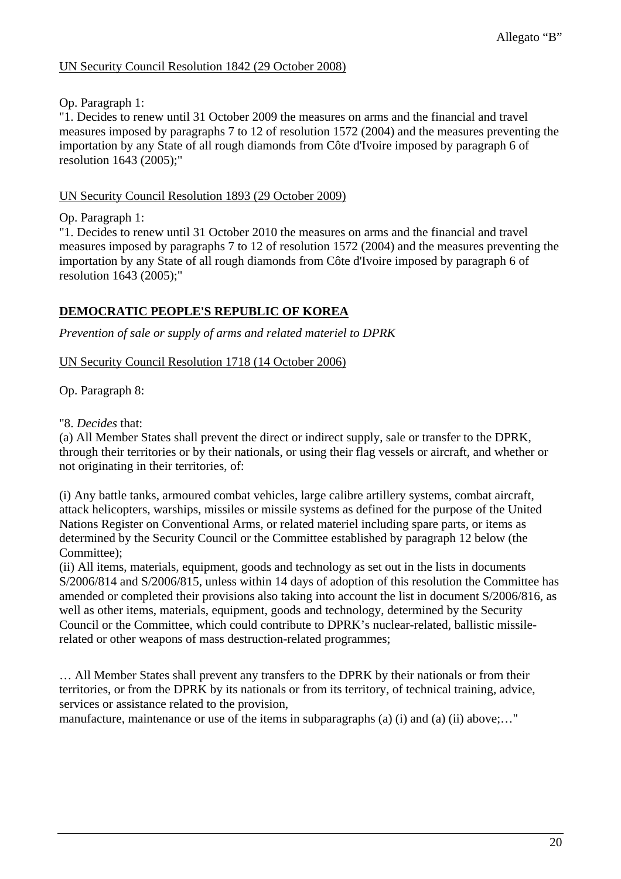### UN Security Council Resolution 1842 (29 October 2008)

### Op. Paragraph 1:

"1. Decides to renew until 31 October 2009 the measures on arms and the financial and travel measures imposed by paragraphs 7 to 12 of resolution 1572 (2004) and the measures preventing the importation by any State of all rough diamonds from Côte d'Ivoire imposed by paragraph 6 of resolution 1643 (2005);"

### UN Security Council Resolution 1893 (29 October 2009)

Op. Paragraph 1:

"1. Decides to renew until 31 October 2010 the measures on arms and the financial and travel measures imposed by paragraphs 7 to 12 of resolution 1572 (2004) and the measures preventing the importation by any State of all rough diamonds from Côte d'Ivoire imposed by paragraph 6 of resolution 1643 (2005);"

## **DEMOCRATIC PEOPLE'S REPUBLIC OF KOREA**

*Prevention of sale or supply of arms and related materiel to DPRK*

UN Security Council Resolution 1718 (14 October 2006)

Op. Paragraph 8:

"8. *Decides* that:

(a) All Member States shall prevent the direct or indirect supply, sale or transfer to the DPRK, through their territories or by their nationals, or using their flag vessels or aircraft, and whether or not originating in their territories, of:

(i) Any battle tanks, armoured combat vehicles, large calibre artillery systems, combat aircraft, attack helicopters, warships, missiles or missile systems as defined for the purpose of the United Nations Register on Conventional Arms, or related materiel including spare parts, or items as determined by the Security Council or the Committee established by paragraph 12 below (the Committee);

(ii) All items, materials, equipment, goods and technology as set out in the lists in documents S/2006/814 and S/2006/815, unless within 14 days of adoption of this resolution the Committee has amended or completed their provisions also taking into account the list in document S/2006/816, as well as other items, materials, equipment, goods and technology, determined by the Security Council or the Committee, which could contribute to DPRK's nuclear-related, ballistic missilerelated or other weapons of mass destruction-related programmes;

… All Member States shall prevent any transfers to the DPRK by their nationals or from their territories, or from the DPRK by its nationals or from its territory, of technical training, advice, services or assistance related to the provision,

manufacture, maintenance or use of the items in subparagraphs (a) (i) and (a) (ii) above...."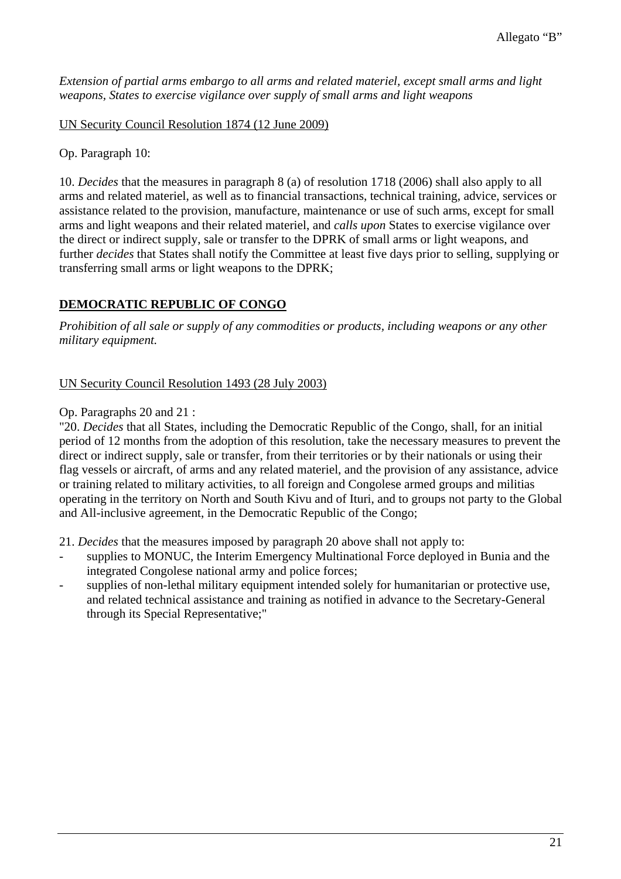*Extension of partial arms embargo to all arms and related materiel, except small arms and light weapons, States to exercise vigilance over supply of small arms and light weapons*

UN Security Council Resolution 1874 (12 June 2009)

Op. Paragraph 10:

10. *Decides* that the measures in paragraph 8 (a) of resolution 1718 (2006) shall also apply to all arms and related materiel, as well as to financial transactions, technical training, advice, services or assistance related to the provision, manufacture, maintenance or use of such arms, except for small arms and light weapons and their related materiel, and *calls upon* States to exercise vigilance over the direct or indirect supply, sale or transfer to the DPRK of small arms or light weapons, and further *decides* that States shall notify the Committee at least five days prior to selling, supplying or transferring small arms or light weapons to the DPRK;

### **DEMOCRATIC REPUBLIC OF CONGO**

*Prohibition of all sale or supply of any commodities or products, including weapons or any other military equipment.* 

#### UN Security Council Resolution 1493 (28 July 2003)

#### Op. Paragraphs 20 and 21 :

"20. *Decides* that all States, including the Democratic Republic of the Congo, shall, for an initial period of 12 months from the adoption of this resolution, take the necessary measures to prevent the direct or indirect supply, sale or transfer, from their territories or by their nationals or using their flag vessels or aircraft, of arms and any related materiel, and the provision of any assistance, advice or training related to military activities, to all foreign and Congolese armed groups and militias operating in the territory on North and South Kivu and of Ituri, and to groups not party to the Global and All-inclusive agreement, in the Democratic Republic of the Congo;

21. *Decides* that the measures imposed by paragraph 20 above shall not apply to:

- supplies to MONUC, the Interim Emergency Multinational Force deployed in Bunia and the integrated Congolese national army and police forces;
- supplies of non-lethal military equipment intended solely for humanitarian or protective use, and related technical assistance and training as notified in advance to the Secretary-General through its Special Representative;"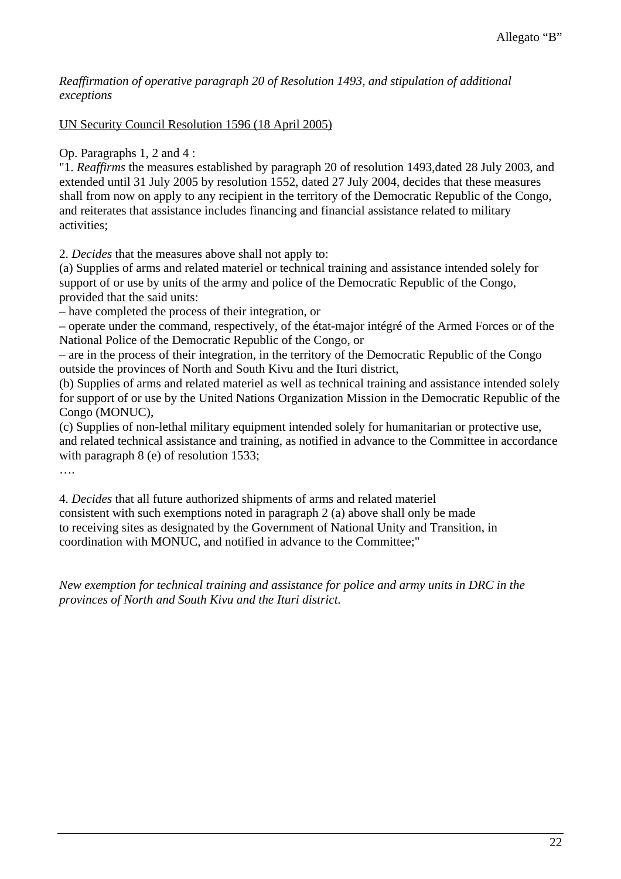### *Reaffirmation of operative paragraph 20 of Resolution 1493, and stipulation of additional exceptions*

## UN Security Council Resolution 1596 (18 April 2005)

Op. Paragraphs 1, 2 and 4 :

"1. *Reaffirms* the measures established by paragraph 20 of resolution 1493,dated 28 July 2003, and extended until 31 July 2005 by resolution 1552, dated 27 July 2004, decides that these measures shall from now on apply to any recipient in the territory of the Democratic Republic of the Congo, and reiterates that assistance includes financing and financial assistance related to military activities;

2. *Decides* that the measures above shall not apply to:

(a) Supplies of arms and related materiel or technical training and assistance intended solely for support of or use by units of the army and police of the Democratic Republic of the Congo, provided that the said units:

– have completed the process of their integration, or

– operate under the command, respectively, of the état-major intégré of the Armed Forces or of the National Police of the Democratic Republic of the Congo, or

– are in the process of their integration, in the territory of the Democratic Republic of the Congo outside the provinces of North and South Kivu and the Ituri district,

(b) Supplies of arms and related materiel as well as technical training and assistance intended solely for support of or use by the United Nations Organization Mission in the Democratic Republic of the Congo (MONUC),

(c) Supplies of non-lethal military equipment intended solely for humanitarian or protective use, and related technical assistance and training, as notified in advance to the Committee in accordance with paragraph 8 (e) of resolution 1533;

….

4. *Decides* that all future authorized shipments of arms and related materiel consistent with such exemptions noted in paragraph 2 (a) above shall only be made to receiving sites as designated by the Government of National Unity and Transition, in coordination with MONUC, and notified in advance to the Committee;"

*New exemption for technical training and assistance for police and army units in DRC in the provinces of North and South Kivu and the Ituri district.*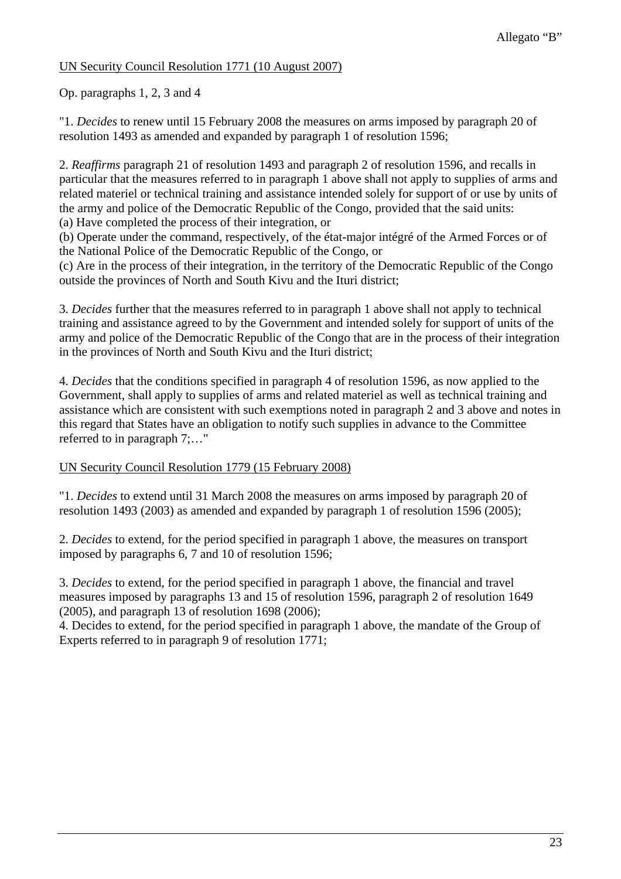## UN Security Council Resolution 1771 (10 August 2007)

Op. paragraphs 1, 2, 3 and 4

"1. *Decides* to renew until 15 February 2008 the measures on arms imposed by paragraph 20 of resolution 1493 as amended and expanded by paragraph 1 of resolution 1596;

2. *Reaffirms* paragraph 21 of resolution 1493 and paragraph 2 of resolution 1596, and recalls in particular that the measures referred to in paragraph 1 above shall not apply to supplies of arms and related materiel or technical training and assistance intended solely for support of or use by units of the army and police of the Democratic Republic of the Congo, provided that the said units:

(a) Have completed the process of their integration, or

(b) Operate under the command, respectively, of the état-major intégré of the Armed Forces or of the National Police of the Democratic Republic of the Congo, or

(c) Are in the process of their integration, in the territory of the Democratic Republic of the Congo outside the provinces of North and South Kivu and the Ituri district;

3. *Decides* further that the measures referred to in paragraph 1 above shall not apply to technical training and assistance agreed to by the Government and intended solely for support of units of the army and police of the Democratic Republic of the Congo that are in the process of their integration in the provinces of North and South Kivu and the Ituri district;

4. *Decides* that the conditions specified in paragraph 4 of resolution 1596, as now applied to the Government, shall apply to supplies of arms and related materiel as well as technical training and assistance which are consistent with such exemptions noted in paragraph 2 and 3 above and notes in this regard that States have an obligation to notify such supplies in advance to the Committee referred to in paragraph 7;…"

### UN Security Council Resolution 1779 (15 February 2008)

"1. *Decides* to extend until 31 March 2008 the measures on arms imposed by paragraph 20 of resolution 1493 (2003) as amended and expanded by paragraph 1 of resolution 1596 (2005);

2. *Decides* to extend, for the period specified in paragraph 1 above, the measures on transport imposed by paragraphs 6, 7 and 10 of resolution 1596;

3. *Decides* to extend, for the period specified in paragraph 1 above, the financial and travel measures imposed by paragraphs 13 and 15 of resolution 1596, paragraph 2 of resolution 1649 (2005), and paragraph 13 of resolution 1698 (2006);

4. Decides to extend, for the period specified in paragraph 1 above, the mandate of the Group of Experts referred to in paragraph 9 of resolution 1771;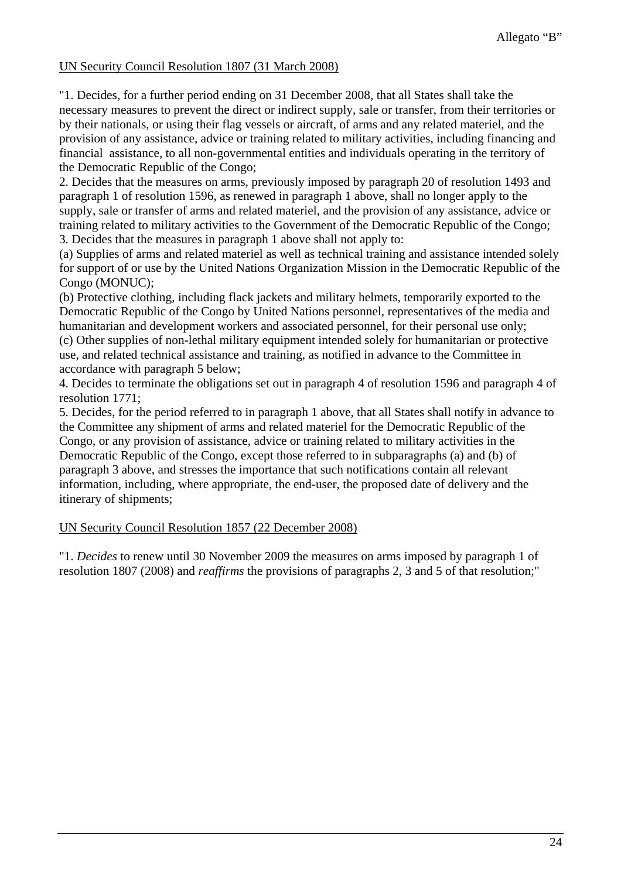## UN Security Council Resolution 1807 (31 March 2008)

"1. Decides, for a further period ending on 31 December 2008, that all States shall take the necessary measures to prevent the direct or indirect supply, sale or transfer, from their territories or by their nationals, or using their flag vessels or aircraft, of arms and any related materiel, and the provision of any assistance, advice or training related to military activities, including financing and financial assistance, to all non-governmental entities and individuals operating in the territory of the Democratic Republic of the Congo;

2. Decides that the measures on arms, previously imposed by paragraph 20 of resolution 1493 and paragraph 1 of resolution 1596, as renewed in paragraph 1 above, shall no longer apply to the supply, sale or transfer of arms and related materiel, and the provision of any assistance, advice or training related to military activities to the Government of the Democratic Republic of the Congo; 3. Decides that the measures in paragraph 1 above shall not apply to:

(a) Supplies of arms and related materiel as well as technical training and assistance intended solely for support of or use by the United Nations Organization Mission in the Democratic Republic of the Congo (MONUC);

(b) Protective clothing, including flack jackets and military helmets, temporarily exported to the Democratic Republic of the Congo by United Nations personnel, representatives of the media and humanitarian and development workers and associated personnel, for their personal use only; (c) Other supplies of non-lethal military equipment intended solely for humanitarian or protective use, and related technical assistance and training, as notified in advance to the Committee in accordance with paragraph 5 below;

4. Decides to terminate the obligations set out in paragraph 4 of resolution 1596 and paragraph 4 of resolution 1771;

5. Decides, for the period referred to in paragraph 1 above, that all States shall notify in advance to the Committee any shipment of arms and related materiel for the Democratic Republic of the Congo, or any provision of assistance, advice or training related to military activities in the Democratic Republic of the Congo, except those referred to in subparagraphs (a) and (b) of paragraph 3 above, and stresses the importance that such notifications contain all relevant information, including, where appropriate, the end-user, the proposed date of delivery and the itinerary of shipments;

#### UN Security Council Resolution 1857 (22 December 2008)

"1. *Decides* to renew until 30 November 2009 the measures on arms imposed by paragraph 1 of resolution 1807 (2008) and *reaffirms* the provisions of paragraphs 2, 3 and 5 of that resolution;"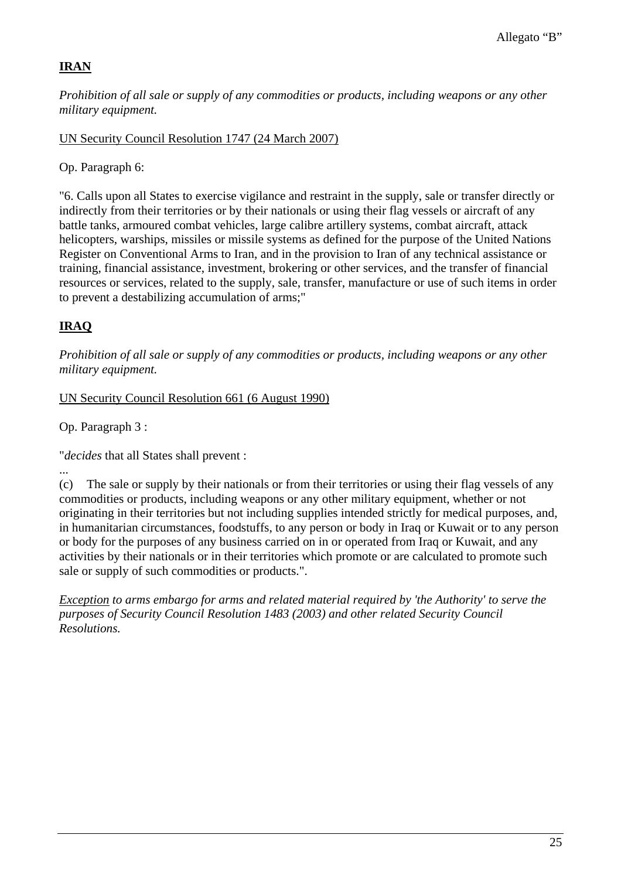## **IRAN**

*Prohibition of all sale or supply of any commodities or products, including weapons or any other military equipment.*

UN Security Council Resolution 1747 (24 March 2007)

Op. Paragraph 6:

"6. Calls upon all States to exercise vigilance and restraint in the supply, sale or transfer directly or indirectly from their territories or by their nationals or using their flag vessels or aircraft of any battle tanks, armoured combat vehicles, large calibre artillery systems, combat aircraft, attack helicopters, warships, missiles or missile systems as defined for the purpose of the United Nations Register on Conventional Arms to Iran, and in the provision to Iran of any technical assistance or training, financial assistance, investment, brokering or other services, and the transfer of financial resources or services, related to the supply, sale, transfer, manufacture or use of such items in order to prevent a destabilizing accumulation of arms;"

# **IRAQ**

*Prohibition of all sale or supply of any commodities or products, including weapons or any other military equipment.*

UN Security Council Resolution 661 (6 August 1990)

Op. Paragraph 3 :

"*decides* that all States shall prevent :

...

(c) The sale or supply by their nationals or from their territories or using their flag vessels of any commodities or products, including weapons or any other military equipment, whether or not originating in their territories but not including supplies intended strictly for medical purposes, and, in humanitarian circumstances, foodstuffs, to any person or body in Iraq or Kuwait or to any person or body for the purposes of any business carried on in or operated from Iraq or Kuwait, and any activities by their nationals or in their territories which promote or are calculated to promote such sale or supply of such commodities or products.".

*Exception to arms embargo for arms and related material required by 'the Authority' to serve the purposes of Security Council Resolution 1483 (2003) and other related Security Council Resolutions.*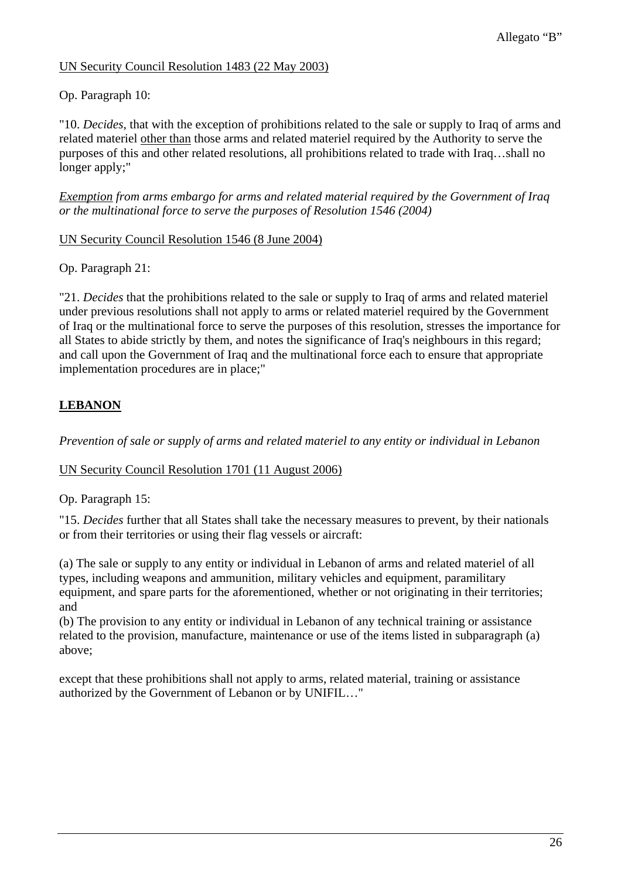## UN Security Council Resolution 1483 (22 May 2003)

## Op. Paragraph 10:

"10. *Decides,* that with the exception of prohibitions related to the sale or supply to Iraq of arms and related materiel other than those arms and related materiel required by the Authority to serve the purposes of this and other related resolutions, all prohibitions related to trade with Iraq…shall no longer apply;"

*Exemption from arms embargo for arms and related material required by the Government of Iraq or the multinational force to serve the purposes of Resolution 1546 (2004)* 

### UN Security Council Resolution 1546 (8 June 2004)

Op. Paragraph 21:

"21. *Decides* that the prohibitions related to the sale or supply to Iraq of arms and related materiel under previous resolutions shall not apply to arms or related materiel required by the Government of Iraq or the multinational force to serve the purposes of this resolution, stresses the importance for all States to abide strictly by them, and notes the significance of Iraq's neighbours in this regard; and call upon the Government of Iraq and the multinational force each to ensure that appropriate implementation procedures are in place;"

## **LEBANON**

*Prevention of sale or supply of arms and related materiel to any entity or individual in Lebanon*

#### UN Security Council Resolution 1701 (11 August 2006)

Op. Paragraph 15:

"15. *Decides* further that all States shall take the necessary measures to prevent, by their nationals or from their territories or using their flag vessels or aircraft:

(a) The sale or supply to any entity or individual in Lebanon of arms and related materiel of all types, including weapons and ammunition, military vehicles and equipment, paramilitary equipment, and spare parts for the aforementioned, whether or not originating in their territories; and

(b) The provision to any entity or individual in Lebanon of any technical training or assistance related to the provision, manufacture, maintenance or use of the items listed in subparagraph (a) above;

except that these prohibitions shall not apply to arms, related material, training or assistance authorized by the Government of Lebanon or by UNIFIL…"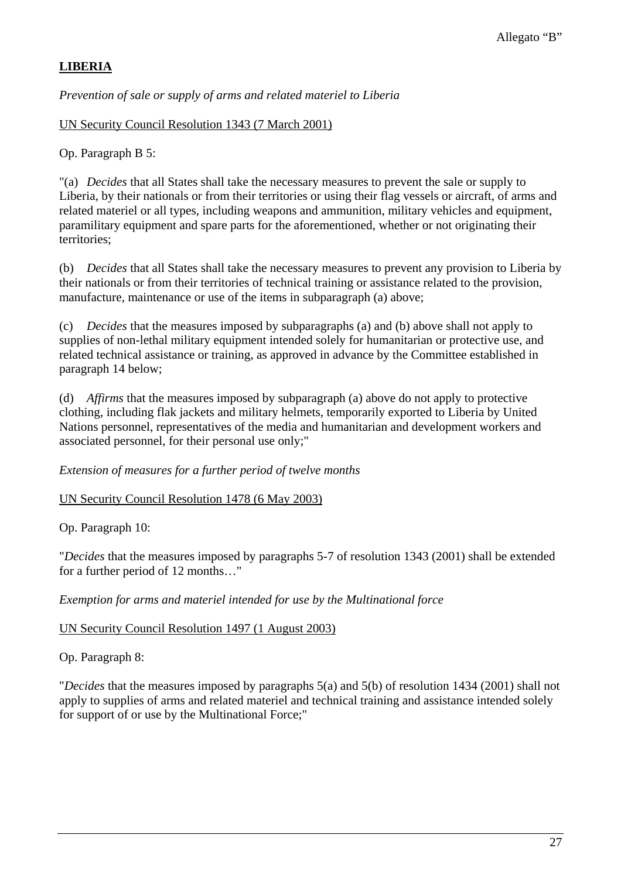## **LIBERIA**

*Prevention of sale or supply of arms and related materiel to Liberia*

UN Security Council Resolution 1343 (7 March 2001)

Op. Paragraph B 5:

"(a) *Decides* that all States shall take the necessary measures to prevent the sale or supply to Liberia, by their nationals or from their territories or using their flag vessels or aircraft, of arms and related materiel or all types, including weapons and ammunition, military vehicles and equipment, paramilitary equipment and spare parts for the aforementioned, whether or not originating their territories;

(b) *Decides* that all States shall take the necessary measures to prevent any provision to Liberia by their nationals or from their territories of technical training or assistance related to the provision, manufacture, maintenance or use of the items in subparagraph (a) above;

(c) *Decides* that the measures imposed by subparagraphs (a) and (b) above shall not apply to supplies of non-lethal military equipment intended solely for humanitarian or protective use, and related technical assistance or training, as approved in advance by the Committee established in paragraph 14 below;

(d) *Affirms* that the measures imposed by subparagraph (a) above do not apply to protective clothing, including flak jackets and military helmets, temporarily exported to Liberia by United Nations personnel, representatives of the media and humanitarian and development workers and associated personnel, for their personal use only;"

*Extension of measures for a further period of twelve months* 

UN Security Council Resolution 1478 (6 May 2003)

Op. Paragraph 10:

"*Decides* that the measures imposed by paragraphs 5-7 of resolution 1343 (2001) shall be extended for a further period of 12 months…"

*Exemption for arms and materiel intended for use by the Multinational force* 

## UN Security Council Resolution 1497 (1 August 2003)

Op. Paragraph 8:

"*Decides* that the measures imposed by paragraphs 5(a) and 5(b) of resolution 1434 (2001) shall not apply to supplies of arms and related materiel and technical training and assistance intended solely for support of or use by the Multinational Force;"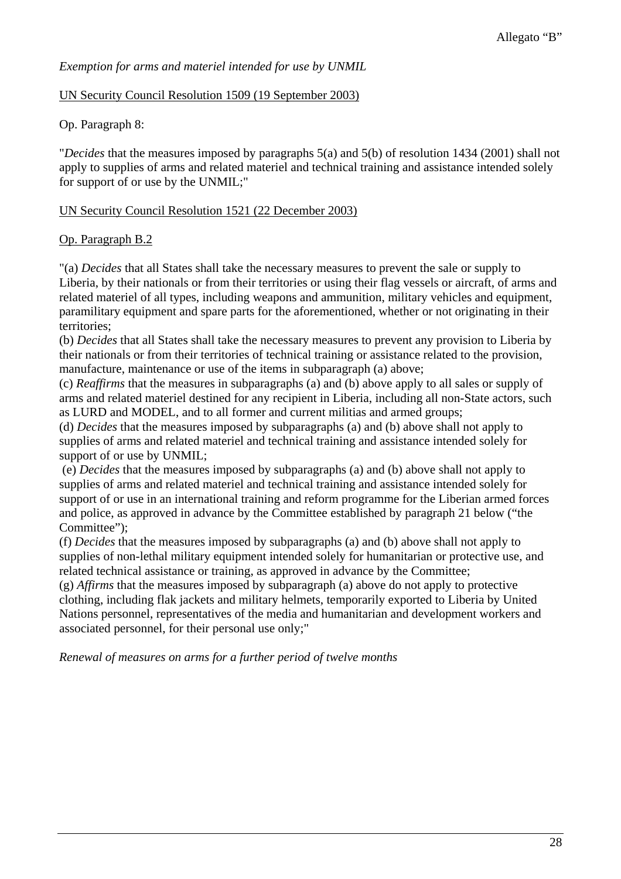## *Exemption for arms and materiel intended for use by UNMIL*

## UN Security Council Resolution 1509 (19 September 2003)

Op. Paragraph 8:

"*Decides* that the measures imposed by paragraphs 5(a) and 5(b) of resolution 1434 (2001) shall not apply to supplies of arms and related materiel and technical training and assistance intended solely for support of or use by the UNMIL;"

## UN Security Council Resolution 1521 (22 December 2003)

## Op. Paragraph B.2

"(a) *Decides* that all States shall take the necessary measures to prevent the sale or supply to Liberia, by their nationals or from their territories or using their flag vessels or aircraft, of arms and related materiel of all types, including weapons and ammunition, military vehicles and equipment, paramilitary equipment and spare parts for the aforementioned, whether or not originating in their territories;

(b) *Decides* that all States shall take the necessary measures to prevent any provision to Liberia by their nationals or from their territories of technical training or assistance related to the provision, manufacture, maintenance or use of the items in subparagraph (a) above;

(c) *Reaffirms* that the measures in subparagraphs (a) and (b) above apply to all sales or supply of arms and related materiel destined for any recipient in Liberia, including all non-State actors, such as LURD and MODEL, and to all former and current militias and armed groups;

(d) *Decides* that the measures imposed by subparagraphs (a) and (b) above shall not apply to supplies of arms and related materiel and technical training and assistance intended solely for support of or use by UNMIL;

 (e) *Decides* that the measures imposed by subparagraphs (a) and (b) above shall not apply to supplies of arms and related materiel and technical training and assistance intended solely for support of or use in an international training and reform programme for the Liberian armed forces and police, as approved in advance by the Committee established by paragraph 21 below ("the Committee");

(f) *Decides* that the measures imposed by subparagraphs (a) and (b) above shall not apply to supplies of non-lethal military equipment intended solely for humanitarian or protective use, and related technical assistance or training, as approved in advance by the Committee;

(g) *Affirms* that the measures imposed by subparagraph (a) above do not apply to protective clothing, including flak jackets and military helmets, temporarily exported to Liberia by United Nations personnel, representatives of the media and humanitarian and development workers and associated personnel, for their personal use only;"

*Renewal of measures on arms for a further period of twelve months*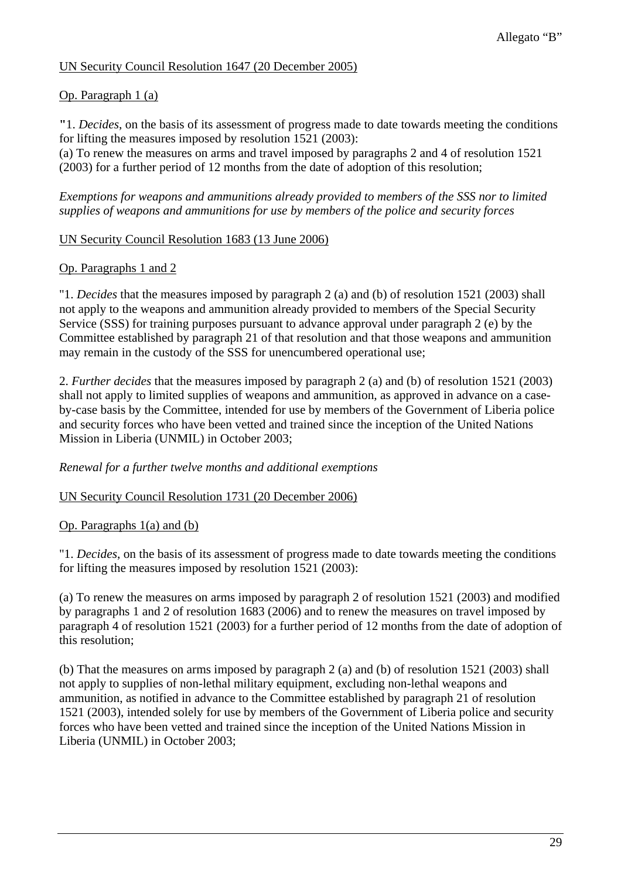## UN Security Council Resolution 1647 (20 December 2005)

## Op. Paragraph 1 (a)

**"**1. *Decides*, on the basis of its assessment of progress made to date towards meeting the conditions for lifting the measures imposed by resolution 1521 (2003):

(a) To renew the measures on arms and travel imposed by paragraphs 2 and 4 of resolution 1521 (2003) for a further period of 12 months from the date of adoption of this resolution;

*Exemptions for weapons and ammunitions already provided to members of the SSS nor to limited supplies of weapons and ammunitions for use by members of the police and security forces* 

## UN Security Council Resolution 1683 (13 June 2006)

### Op. Paragraphs 1 and 2

"1. *Decides* that the measures imposed by paragraph 2 (a) and (b) of resolution 1521 (2003) shall not apply to the weapons and ammunition already provided to members of the Special Security Service (SSS) for training purposes pursuant to advance approval under paragraph 2 (e) by the Committee established by paragraph 21 of that resolution and that those weapons and ammunition may remain in the custody of the SSS for unencumbered operational use;

2. *Further decides* that the measures imposed by paragraph 2 (a) and (b) of resolution 1521 (2003) shall not apply to limited supplies of weapons and ammunition, as approved in advance on a caseby-case basis by the Committee, intended for use by members of the Government of Liberia police and security forces who have been vetted and trained since the inception of the United Nations Mission in Liberia (UNMIL) in October 2003;

*Renewal for a further twelve months and additional exemptions* 

UN Security Council Resolution 1731 (20 December 2006)

## Op. Paragraphs 1(a) and (b)

"1. *Decides*, on the basis of its assessment of progress made to date towards meeting the conditions for lifting the measures imposed by resolution 1521 (2003):

(a) To renew the measures on arms imposed by paragraph 2 of resolution 1521 (2003) and modified by paragraphs 1 and 2 of resolution 1683 (2006) and to renew the measures on travel imposed by paragraph 4 of resolution 1521 (2003) for a further period of 12 months from the date of adoption of this resolution;

(b) That the measures on arms imposed by paragraph 2 (a) and (b) of resolution 1521 (2003) shall not apply to supplies of non-lethal military equipment, excluding non-lethal weapons and ammunition, as notified in advance to the Committee established by paragraph 21 of resolution 1521 (2003), intended solely for use by members of the Government of Liberia police and security forces who have been vetted and trained since the inception of the United Nations Mission in Liberia (UNMIL) in October 2003;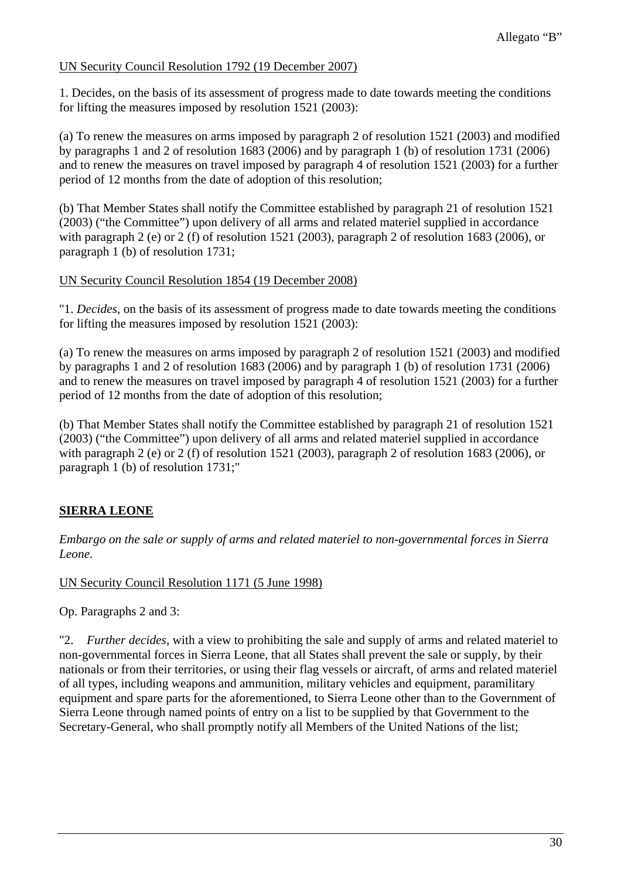## UN Security Council Resolution 1792 (19 December 2007)

1. Decides, on the basis of its assessment of progress made to date towards meeting the conditions for lifting the measures imposed by resolution 1521 (2003):

(a) To renew the measures on arms imposed by paragraph 2 of resolution 1521 (2003) and modified by paragraphs 1 and 2 of resolution 1683 (2006) and by paragraph 1 (b) of resolution 1731 (2006) and to renew the measures on travel imposed by paragraph 4 of resolution 1521 (2003) for a further period of 12 months from the date of adoption of this resolution;

(b) That Member States shall notify the Committee established by paragraph 21 of resolution 1521 (2003) ("the Committee") upon delivery of all arms and related materiel supplied in accordance with paragraph 2 (e) or 2 (f) of resolution 1521 (2003), paragraph 2 of resolution 1683 (2006), or paragraph 1 (b) of resolution 1731;

### UN Security Council Resolution 1854 (19 December 2008)

"1. *Decides*, on the basis of its assessment of progress made to date towards meeting the conditions for lifting the measures imposed by resolution 1521 (2003):

(a) To renew the measures on arms imposed by paragraph 2 of resolution 1521 (2003) and modified by paragraphs 1 and 2 of resolution 1683 (2006) and by paragraph 1 (b) of resolution 1731 (2006) and to renew the measures on travel imposed by paragraph 4 of resolution 1521 (2003) for a further period of 12 months from the date of adoption of this resolution;

(b) That Member States shall notify the Committee established by paragraph 21 of resolution 1521 (2003) ("the Committee") upon delivery of all arms and related materiel supplied in accordance with paragraph 2 (e) or 2 (f) of resolution 1521 (2003), paragraph 2 of resolution 1683 (2006), or paragraph 1 (b) of resolution 1731;"

# **SIERRA LEONE**

*Embargo on the sale or supply of arms and related materiel to non-governmental forces in Sierra Leone.* 

## UN Security Council Resolution 1171 (5 June 1998)

Op. Paragraphs 2 and 3:

"2. *Further decides*, with a view to prohibiting the sale and supply of arms and related materiel to non-governmental forces in Sierra Leone, that all States shall prevent the sale or supply, by their nationals or from their territories, or using their flag vessels or aircraft, of arms and related materiel of all types, including weapons and ammunition, military vehicles and equipment, paramilitary equipment and spare parts for the aforementioned, to Sierra Leone other than to the Government of Sierra Leone through named points of entry on a list to be supplied by that Government to the Secretary-General, who shall promptly notify all Members of the United Nations of the list;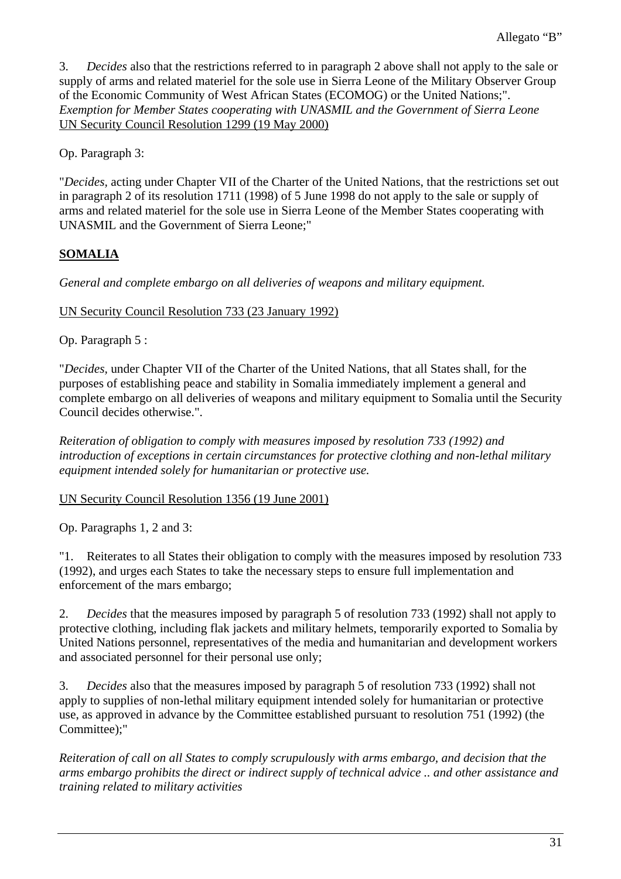3. *Decides* also that the restrictions referred to in paragraph 2 above shall not apply to the sale or supply of arms and related materiel for the sole use in Sierra Leone of the Military Observer Group of the Economic Community of West African States (ECOMOG) or the United Nations;". *Exemption for Member States cooperating with UNASMIL and the Government of Sierra Leone*  UN Security Council Resolution 1299 (19 May 2000)

Op. Paragraph 3:

"*Decides,* acting under Chapter VII of the Charter of the United Nations, that the restrictions set out in paragraph 2 of its resolution 1711 (1998) of 5 June 1998 do not apply to the sale or supply of arms and related materiel for the sole use in Sierra Leone of the Member States cooperating with UNASMIL and the Government of Sierra Leone;"

# **SOMALIA**

*General and complete embargo on all deliveries of weapons and military equipment.* 

UN Security Council Resolution 733 (23 January 1992)

Op. Paragraph 5 :

"*Decides,* under Chapter VII of the Charter of the United Nations, that all States shall, for the purposes of establishing peace and stability in Somalia immediately implement a general and complete embargo on all deliveries of weapons and military equipment to Somalia until the Security Council decides otherwise.".

*Reiteration of obligation to comply with measures imposed by resolution 733 (1992) and introduction of exceptions in certain circumstances for protective clothing and non-lethal military equipment intended solely for humanitarian or protective use.* 

## UN Security Council Resolution 1356 (19 June 2001)

Op. Paragraphs 1, 2 and 3:

"1. Reiterates to all States their obligation to comply with the measures imposed by resolution 733 (1992), and urges each States to take the necessary steps to ensure full implementation and enforcement of the mars embargo;

2. *Decides* that the measures imposed by paragraph 5 of resolution 733 (1992) shall not apply to protective clothing, including flak jackets and military helmets, temporarily exported to Somalia by United Nations personnel, representatives of the media and humanitarian and development workers and associated personnel for their personal use only;

3. *Decides* also that the measures imposed by paragraph 5 of resolution 733 (1992) shall not apply to supplies of non-lethal military equipment intended solely for humanitarian or protective use, as approved in advance by the Committee established pursuant to resolution 751 (1992) (the Committee):"

*Reiteration of call on all States to comply scrupulously with arms embargo, and decision that the arms embargo prohibits the direct or indirect supply of technical advice .. and other assistance and training related to military activities*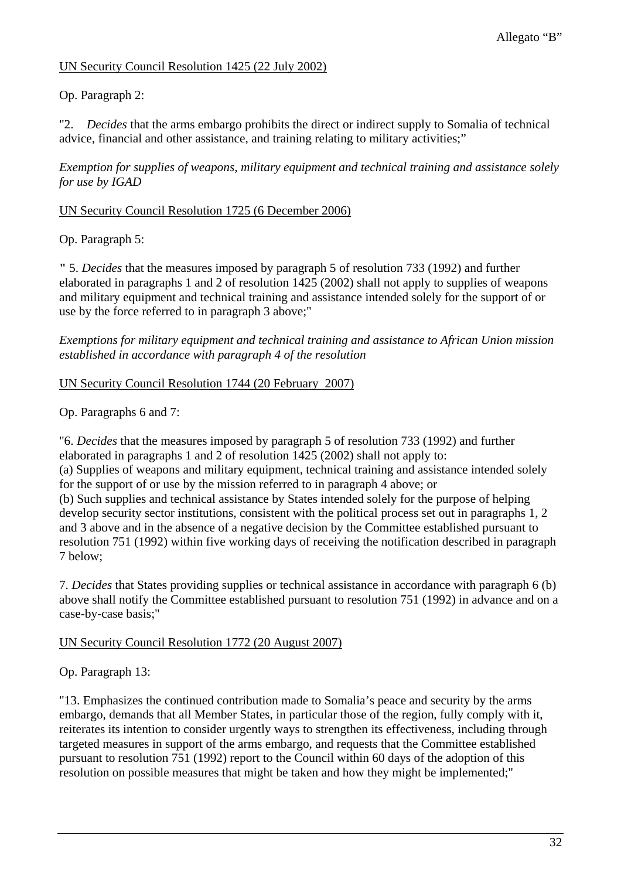## UN Security Council Resolution 1425 (22 July 2002)

Op. Paragraph 2:

"2. *Decides* that the arms embargo prohibits the direct or indirect supply to Somalia of technical advice, financial and other assistance, and training relating to military activities;"

*Exemption for supplies of weapons, military equipment and technical training and assistance solely for use by IGAD* 

### UN Security Council Resolution 1725 (6 December 2006)

Op. Paragraph 5:

**"** 5. *Decides* that the measures imposed by paragraph 5 of resolution 733 (1992) and further elaborated in paragraphs 1 and 2 of resolution 1425 (2002) shall not apply to supplies of weapons and military equipment and technical training and assistance intended solely for the support of or use by the force referred to in paragraph 3 above;"

*Exemptions for military equipment and technical training and assistance to African Union mission established in accordance with paragraph 4 of the resolution* 

### UN Security Council Resolution 1744 (20 February 2007)

Op. Paragraphs 6 and 7:

"6. *Decides* that the measures imposed by paragraph 5 of resolution 733 (1992) and further elaborated in paragraphs 1 and 2 of resolution 1425 (2002) shall not apply to: (a) Supplies of weapons and military equipment, technical training and assistance intended solely for the support of or use by the mission referred to in paragraph 4 above; or (b) Such supplies and technical assistance by States intended solely for the purpose of helping develop security sector institutions, consistent with the political process set out in paragraphs 1, 2 and 3 above and in the absence of a negative decision by the Committee established pursuant to resolution 751 (1992) within five working days of receiving the notification described in paragraph 7 below;

7. *Decides* that States providing supplies or technical assistance in accordance with paragraph 6 (b) above shall notify the Committee established pursuant to resolution 751 (1992) in advance and on a case-by-case basis;"

UN Security Council Resolution 1772 (20 August 2007)

Op. Paragraph 13:

"13. Emphasizes the continued contribution made to Somalia's peace and security by the arms embargo, demands that all Member States, in particular those of the region, fully comply with it, reiterates its intention to consider urgently ways to strengthen its effectiveness, including through targeted measures in support of the arms embargo, and requests that the Committee established pursuant to resolution 751 (1992) report to the Council within 60 days of the adoption of this resolution on possible measures that might be taken and how they might be implemented;"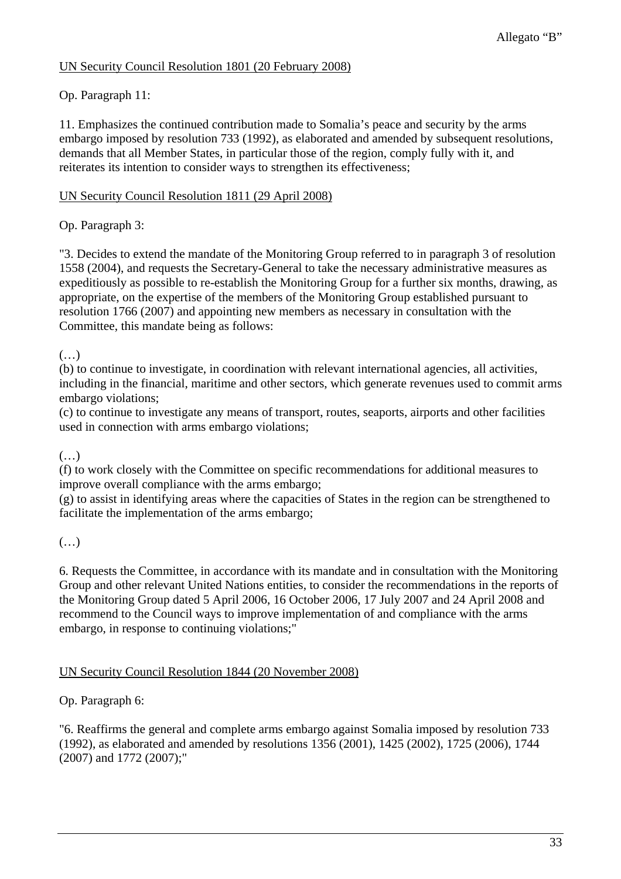## UN Security Council Resolution 1801 (20 February 2008)

## Op. Paragraph 11:

11. Emphasizes the continued contribution made to Somalia's peace and security by the arms embargo imposed by resolution 733 (1992), as elaborated and amended by subsequent resolutions, demands that all Member States, in particular those of the region, comply fully with it, and reiterates its intention to consider ways to strengthen its effectiveness;

## UN Security Council Resolution 1811 (29 April 2008)

Op. Paragraph 3:

"3. Decides to extend the mandate of the Monitoring Group referred to in paragraph 3 of resolution 1558 (2004), and requests the Secretary-General to take the necessary administrative measures as expeditiously as possible to re-establish the Monitoring Group for a further six months, drawing, as appropriate, on the expertise of the members of the Monitoring Group established pursuant to resolution 1766 (2007) and appointing new members as necessary in consultation with the Committee, this mandate being as follows:

 $(\ldots)$ 

(b) to continue to investigate, in coordination with relevant international agencies, all activities, including in the financial, maritime and other sectors, which generate revenues used to commit arms embargo violations;

(c) to continue to investigate any means of transport, routes, seaports, airports and other facilities used in connection with arms embargo violations;

## (…)

(f) to work closely with the Committee on specific recommendations for additional measures to improve overall compliance with the arms embargo;

(g) to assist in identifying areas where the capacities of States in the region can be strengthened to facilitate the implementation of the arms embargo;

## (…)

6. Requests the Committee, in accordance with its mandate and in consultation with the Monitoring Group and other relevant United Nations entities, to consider the recommendations in the reports of the Monitoring Group dated 5 April 2006, 16 October 2006, 17 July 2007 and 24 April 2008 and recommend to the Council ways to improve implementation of and compliance with the arms embargo, in response to continuing violations;"

## UN Security Council Resolution 1844 (20 November 2008)

## Op. Paragraph 6:

"6. Reaffirms the general and complete arms embargo against Somalia imposed by resolution 733 (1992), as elaborated and amended by resolutions 1356 (2001), 1425 (2002), 1725 (2006), 1744 (2007) and 1772 (2007);"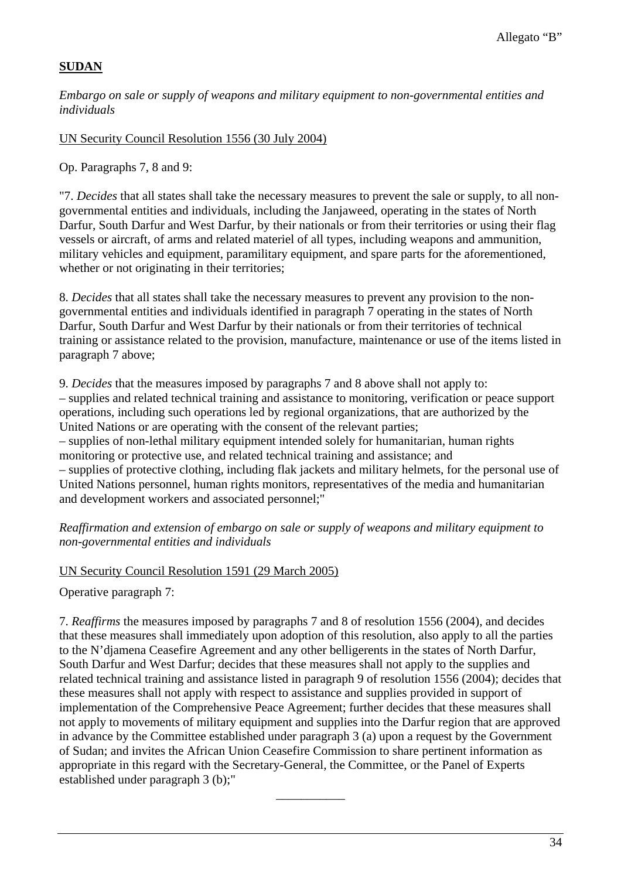## **SUDAN**

*Embargo on sale or supply of weapons and military equipment to non-governmental entities and individuals* 

UN Security Council Resolution 1556 (30 July 2004)

Op. Paragraphs 7, 8 and 9:

"7. *Decides* that all states shall take the necessary measures to prevent the sale or supply, to all nongovernmental entities and individuals, including the Janjaweed, operating in the states of North Darfur, South Darfur and West Darfur, by their nationals or from their territories or using their flag vessels or aircraft, of arms and related materiel of all types, including weapons and ammunition, military vehicles and equipment, paramilitary equipment, and spare parts for the aforementioned, whether or not originating in their territories;

8. *Decides* that all states shall take the necessary measures to prevent any provision to the nongovernmental entities and individuals identified in paragraph 7 operating in the states of North Darfur, South Darfur and West Darfur by their nationals or from their territories of technical training or assistance related to the provision, manufacture, maintenance or use of the items listed in paragraph 7 above;

9. *Decides* that the measures imposed by paragraphs 7 and 8 above shall not apply to: – supplies and related technical training and assistance to monitoring, verification or peace support operations, including such operations led by regional organizations, that are authorized by the United Nations or are operating with the consent of the relevant parties; – supplies of non-lethal military equipment intended solely for humanitarian, human rights

monitoring or protective use, and related technical training and assistance; and – supplies of protective clothing, including flak jackets and military helmets, for the personal use of United Nations personnel, human rights monitors, representatives of the media and humanitarian and development workers and associated personnel;"

*Reaffirmation and extension of embargo on sale or supply of weapons and military equipment to non-governmental entities and individuals* 

#### UN Security Council Resolution 1591 (29 March 2005)

Operative paragraph 7:

7. *Reaffirms* the measures imposed by paragraphs 7 and 8 of resolution 1556 (2004), and decides that these measures shall immediately upon adoption of this resolution, also apply to all the parties to the N'djamena Ceasefire Agreement and any other belligerents in the states of North Darfur, South Darfur and West Darfur; decides that these measures shall not apply to the supplies and related technical training and assistance listed in paragraph 9 of resolution 1556 (2004); decides that these measures shall not apply with respect to assistance and supplies provided in support of implementation of the Comprehensive Peace Agreement; further decides that these measures shall not apply to movements of military equipment and supplies into the Darfur region that are approved in advance by the Committee established under paragraph 3 (a) upon a request by the Government of Sudan; and invites the African Union Ceasefire Commission to share pertinent information as appropriate in this regard with the Secretary-General, the Committee, or the Panel of Experts established under paragraph 3 (b);"

\_\_\_\_\_\_\_\_\_\_\_